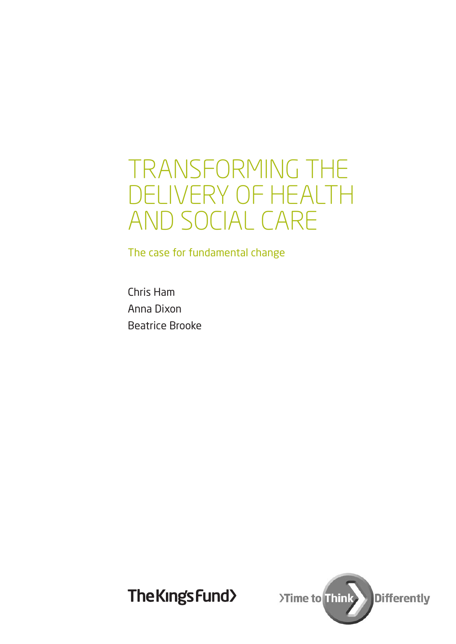## TRANSFORMING THE DELIVERY OF HEALTH AND SOCIAL CARE

The case for fundamental change

Chris Ham Anna Dixon Beatrice Brooke

The King's Fund>

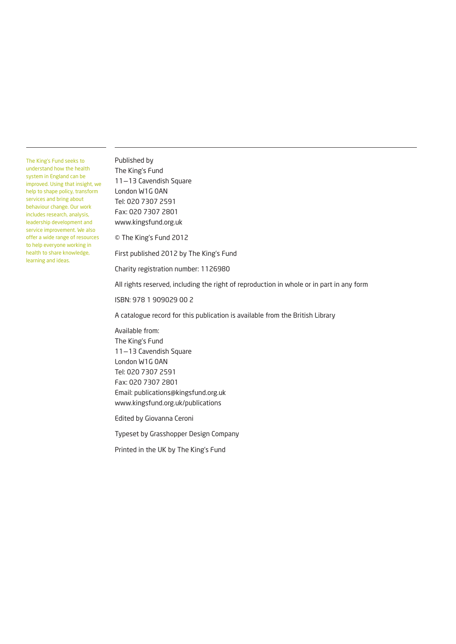The King's Fund seeks to understand how the health system in England can be improved. Using that insight, we help to shape policy, transform services and bring about behaviour change. Our work includes research, analysis, leadership development and service improvement. We also offer a wide range of resources to help everyone working in health to share knowledge, learning and ideas.

Published by The King's Fund 11–13 Cavendish Square London W1G 0AN Tel: 020 7307 2591 Fax: 020 7307 2801 www.kingsfund.org.uk

© The King's Fund 2012

First published 2012 by The King's Fund

Charity registration number: 1126980

All rights reserved, including the right of reproduction in whole or in part in any form

ISBN: 978 1 909029 00 2

A catalogue record for this publication is available from the British Library

Available from: The King's Fund 11–13 Cavendish Square London W1G 0AN Tel: 020 7307 2591 Fax: 020 7307 2801 Email: publications@kingsfund.org.uk www.kingsfund.org.uk/publications

Edited by Giovanna Ceroni

Typeset by Grasshopper Design Company

Printed in the UK by The King's Fund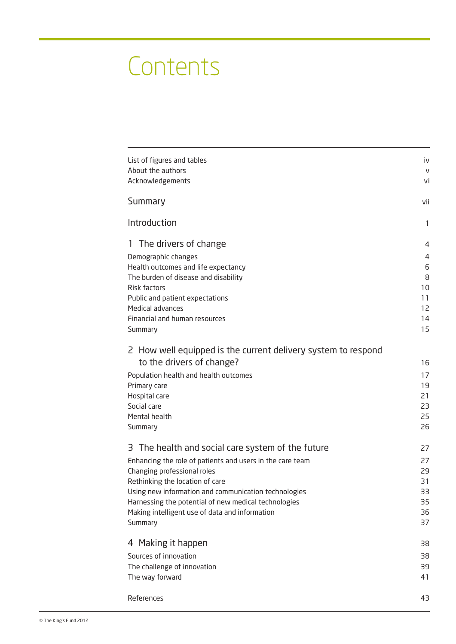# **Contents**

| Summary                                                        | vii<br>1 |
|----------------------------------------------------------------|----------|
|                                                                |          |
| Introduction                                                   |          |
| 1 The drivers of change                                        | 4        |
| Demographic changes                                            | 4        |
| Health outcomes and life expectancy                            | 6        |
| The burden of disease and disability                           | 8        |
| Risk factors                                                   | 10       |
| Public and patient expectations                                | 11       |
| Medical advances                                               | 12       |
| Financial and human resources                                  | 14       |
| Summary                                                        | 15       |
| 2 How well equipped is the current delivery system to respond  |          |
| to the drivers of change?                                      | 16       |
| Population health and health outcomes                          | 17       |
| Primary care                                                   | 19       |
| Hospital care                                                  | 21       |
| Social care                                                    | 23       |
| Mental health                                                  | 25       |
| Summary                                                        | 26       |
| 3 The health and social care system of the future              | 27       |
|                                                                |          |
| Enhancing the role of patients and users in the care team      | 27<br>29 |
| Changing professional roles<br>Rethinking the location of care | 31       |
| Using new information and communication technologies           | 33       |
| Harnessing the potential of new medical technologies           | 35       |
| Making intelligent use of data and information                 | 36       |
| Summary                                                        | 37       |
| 4 Making it happen                                             | 38       |
| Sources of innovation                                          | 38       |
| The challenge of innovation                                    | 39       |
| The way forward                                                | 41       |
| References                                                     | 43       |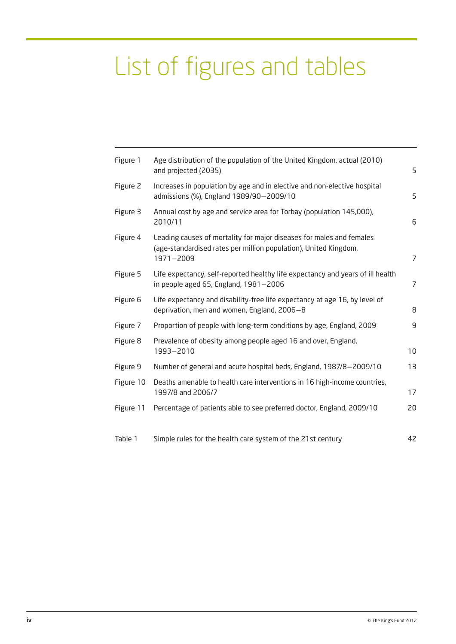# List of figures and tables

| Figure 1  | Age distribution of the population of the United Kingdom, actual (2010)<br>and projected (2035)                                                       | 5              |
|-----------|-------------------------------------------------------------------------------------------------------------------------------------------------------|----------------|
| Figure 2  | Increases in population by age and in elective and non-elective hospital<br>admissions (%), England 1989/90-2009/10                                   | 5              |
| Figure 3  | Annual cost by age and service area for Torbay (population 145,000),<br>2010/11                                                                       | 6              |
| Figure 4  | Leading causes of mortality for major diseases for males and females<br>(age-standardised rates per million population), United Kingdom,<br>1971-2009 | 7              |
| Figure 5  | Life expectancy, self-reported healthy life expectancy and years of ill health<br>in people aged 65, England, $1981 - 2006$                           | $\overline{7}$ |
| Figure 6  | Life expectancy and disability-free life expectancy at age 16, by level of<br>deprivation, men and women, England, 2006-8                             | 8              |
| Figure 7  | Proportion of people with long-term conditions by age, England, 2009                                                                                  | 9              |
| Figure 8  | Prevalence of obesity among people aged 16 and over, England,<br>1993-2010                                                                            | 10             |
| Figure 9  | Number of general and acute hospital beds, England, 1987/8-2009/10                                                                                    | 13             |
| Figure 10 | Deaths amenable to health care interventions in 16 high-income countries,<br>1997/8 and 2006/7                                                        | 17             |
| Figure 11 | Percentage of patients able to see preferred doctor, England, 2009/10                                                                                 | 20             |
| Table 1   | Simple rules for the health care system of the 21st century                                                                                           | 42             |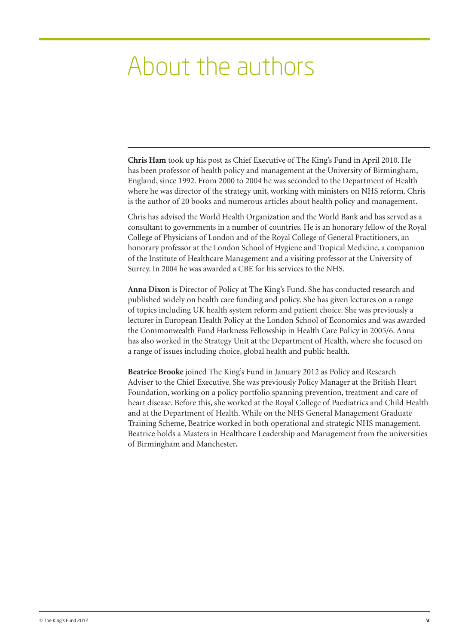## About the authors

**Chris Ham** took up his post as Chief Executive of The King's Fund in April 2010. He has been professor of health policy and management at the University of Birmingham, England, since 1992. From 2000 to 2004 he was seconded to the Department of Health where he was director of the strategy unit, working with ministers on NHS reform. Chris is the author of 20 books and numerous articles about health policy and management.

Chris has advised the World Health Organization and the World Bank and has served as a consultant to governments in a number of countries. He is an honorary fellow of the Royal College of Physicians of London and of the Royal College of General Practitioners, an honorary professor at the London School of Hygiene and Tropical Medicine, a companion of the Institute of Healthcare Management and a visiting professor at the University of Surrey. In 2004 he was awarded a CBE for his services to the NHS.

**Anna Dixon** is Director of Policy at The King's Fund. She has conducted research and published widely on health care funding and policy. She has given lectures on a range of topics including UK health system reform and patient choice. She was previously a lecturer in European Health Policy at the London School of Economics and was awarded the Commonwealth Fund Harkness Fellowship in Health Care Policy in 2005/6. Anna has also worked in the Strategy Unit at the Department of Health, where she focused on a range of issues including choice, global health and public health.

**Beatrice Brooke** joined The King's Fund in January 2012 as Policy and Research Adviser to the Chief Executive. She was previously Policy Manager at the British Heart Foundation, working on a policy portfolio spanning prevention, treatment and care of heart disease. Before this, she worked at the Royal College of Paediatrics and Child Health and at the Department of Health. While on the NHS General Management Graduate Training Scheme, Beatrice worked in both operational and strategic NHS management. Beatrice holds a Masters in Healthcare Leadership and Management from the universities of Birmingham and Manchester**.**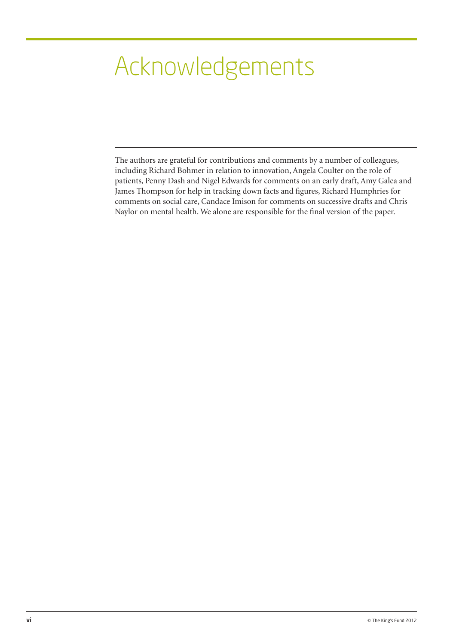# Acknowledgements

The authors are grateful for contributions and comments by a number of colleagues, including Richard Bohmer in relation to innovation, Angela Coulter on the role of patients, Penny Dash and Nigel Edwards for comments on an early draft, Amy Galea and James Thompson for help in tracking down facts and figures, Richard Humphries for comments on social care, Candace Imison for comments on successive drafts and Chris Naylor on mental health. We alone are responsible for the final version of the paper.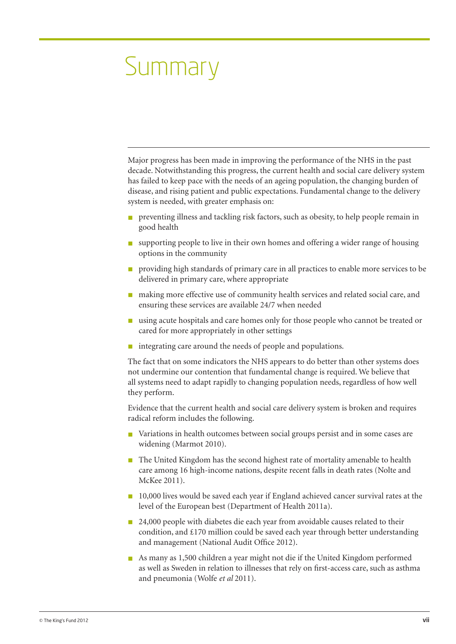# Summary

Major progress has been made in improving the performance of the NHS in the past decade. Notwithstanding this progress, the current health and social care delivery system has failed to keep pace with the needs of an ageing population, the changing burden of disease, and rising patient and public expectations. Fundamental change to the delivery system is needed, with greater emphasis on:

- n preventing illness and tackling risk factors, such as obesity, to help people remain in good health
- **n** supporting people to live in their own homes and offering a wider range of housing options in the community
- n providing high standards of primary care in all practices to enable more services to be delivered in primary care, where appropriate
- n making more effective use of community health services and related social care, and ensuring these services are available 24/7 when needed
- n using acute hospitals and care homes only for those people who cannot be treated or cared for more appropriately in other settings
- n integrating care around the needs of people and populations.

The fact that on some indicators the NHS appears to do better than other systems does not undermine our contention that fundamental change is required. We believe that all systems need to adapt rapidly to changing population needs, regardless of how well they perform.

Evidence that the current health and social care delivery system is broken and requires radical reform includes the following.

- Variations in health outcomes between social groups persist and in some cases are widening (Marmot 2010).
- n The United Kingdom has the second highest rate of mortality amenable to health care among 16 high-income nations, despite recent falls in death rates (Nolte and McKee 2011).
- 10,000 lives would be saved each year if England achieved cancer survival rates at the level of the European best (Department of Health 2011a).
- 24,000 people with diabetes die each year from avoidable causes related to their condition, and £170 million could be saved each year through better understanding and management (National Audit Office 2012).
- n As many as 1,500 children a year might not die if the United Kingdom performed as well as Sweden in relation to illnesses that rely on first-access care, such as asthma and pneumonia (Wolfe *et al* 2011).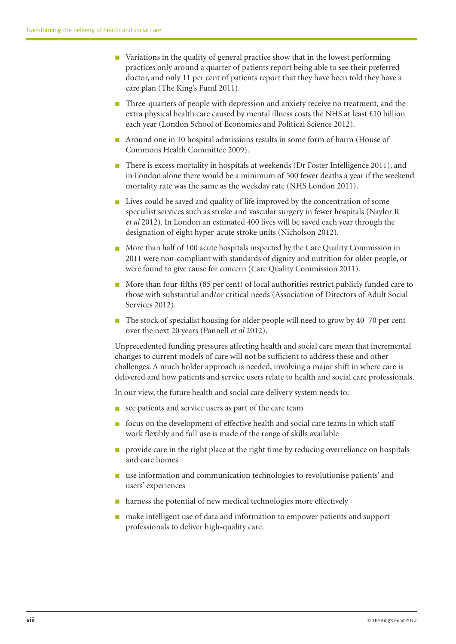- $\blacksquare$  Variations in the quality of general practice show that in the lowest performing practices only around a quarter of patients report being able to see their preferred doctor, and only 11 per cent of patients report that they have been told they have a care plan (The King's Fund 2011).
- Three-quarters of people with depression and anxiety receive no treatment, and the extra physical health care caused by mental illness costs the NHS at least £10 billion each year (London School of Economics and Political Science 2012).
- n Around one in 10 hospital admissions results in some form of harm (House of Commons Health Committee 2009).
- n There is excess mortality in hospitals at weekends (Dr Foster Intelligence 2011), and in London alone there would be a minimum of 500 fewer deaths a year if the weekend mortality rate was the same as the weekday rate (NHS London 2011).
- $\blacksquare$  Lives could be saved and quality of life improved by the concentration of some specialist services such as stroke and vascular surgery in fewer hospitals (Naylor R *et al* 2012). In London an estimated 400 lives will be saved each year through the designation of eight hyper-acute stroke units (Nicholson 2012).
- More than half of 100 acute hospitals inspected by the Care Quality Commission in 2011 were non-compliant with standards of dignity and nutrition for older people, or were found to give cause for concern (Care Quality Commission 2011).
- n More than four-fifths (85 per cent) of local authorities restrict publicly funded care to those with substantial and/or critical needs (Association of Directors of Adult Social Services 2012).
- The stock of specialist housing for older people will need to grow by 40–70 per cent over the next 20 years (Pannell *et al* 2012).

Unprecedented funding pressures affecting health and social care mean that incremental changes to current models of care will not be sufficient to address these and other challenges. A much bolder approach is needed, involving a major shift in where care is delivered and how patients and service users relate to health and social care professionals.

In our view, the future health and social care delivery system needs to:

- $\blacksquare$  see patients and service users as part of the care team
- $\blacksquare$  focus on the development of effective health and social care teams in which staff work flexibly and full use is made of the range of skills available
- n provide care in the right place at the right time by reducing overreliance on hospitals and care homes
- $\blacksquare$  use information and communication technologies to revolutionise patients' and users' experiences
- $\blacksquare$  harness the potential of new medical technologies more effectively
- $\blacksquare$  make intelligent use of data and information to empower patients and support professionals to deliver high-quality care.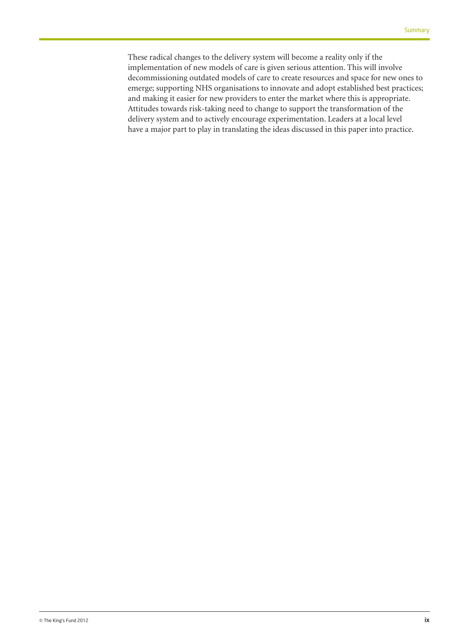These radical changes to the delivery system will become a reality only if the implementation of new models of care is given serious attention. This will involve decommissioning outdated models of care to create resources and space for new ones to emerge; supporting NHS organisations to innovate and adopt established best practices; and making it easier for new providers to enter the market where this is appropriate. Attitudes towards risk-taking need to change to support the transformation of the delivery system and to actively encourage experimentation. Leaders at a local level have a major part to play in translating the ideas discussed in this paper into practice.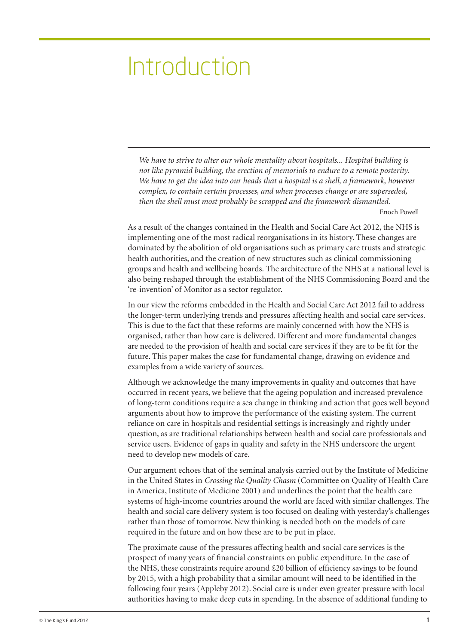# Introduction

*We have to strive to alter our whole mentality about hospitals... Hospital building is not like pyramid building, the erection of memorials to endure to a remote posterity. We have to get the idea into our heads that a hospital is a shell, a framework, however complex, to contain certain processes, and when processes change or are superseded, then the shell must most probably be scrapped and the framework dismantled.* Enoch Powell

As a result of the changes contained in the Health and Social Care Act 2012, the NHS is implementing one of the most radical reorganisations in its history. These changes are dominated by the abolition of old organisations such as primary care trusts and strategic health authorities, and the creation of new structures such as clinical commissioning groups and health and wellbeing boards. The architecture of the NHS at a national level is also being reshaped through the establishment of the NHS Commissioning Board and the 're-invention' of Monitor as a sector regulator.

In our view the reforms embedded in the Health and Social Care Act 2012 fail to address the longer-term underlying trends and pressures affecting health and social care services. This is due to the fact that these reforms are mainly concerned with how the NHS is organised, rather than how care is delivered. Different and more fundamental changes are needed to the provision of health and social care services if they are to be fit for the future. This paper makes the case for fundamental change, drawing on evidence and examples from a wide variety of sources.

Although we acknowledge the many improvements in quality and outcomes that have occurred in recent years, we believe that the ageing population and increased prevalence of long-term conditions require a sea change in thinking and action that goes well beyond arguments about how to improve the performance of the existing system. The current reliance on care in hospitals and residential settings is increasingly and rightly under question, as are traditional relationships between health and social care professionals and service users. Evidence of gaps in quality and safety in the NHS underscore the urgent need to develop new models of care.

Our argument echoes that of the seminal analysis carried out by the Institute of Medicine in the United States in *Crossing the Quality Chasm* (Committee on Quality of Health Care in America, Institute of Medicine 2001) and underlines the point that the health care systems of high-income countries around the world are faced with similar challenges. The health and social care delivery system is too focused on dealing with yesterday's challenges rather than those of tomorrow. New thinking is needed both on the models of care required in the future and on how these are to be put in place.

The proximate cause of the pressures affecting health and social care services is the prospect of many years of financial constraints on public expenditure. In the case of the NHS, these constraints require around £20 billion of efficiency savings to be found by 2015, with a high probability that a similar amount will need to be identified in the following four years (Appleby 2012). Social care is under even greater pressure with local authorities having to make deep cuts in spending. In the absence of additional funding to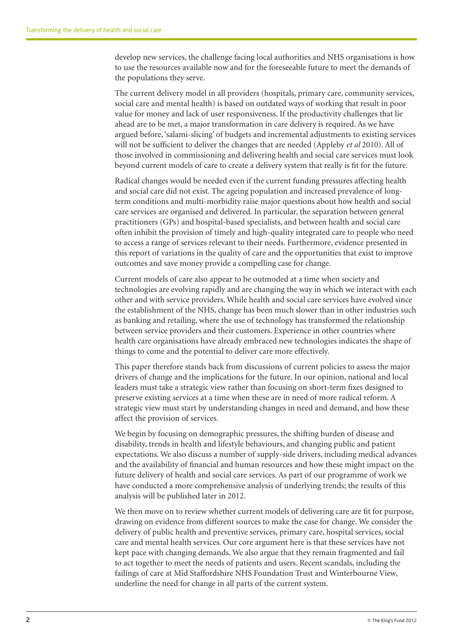develop new services, the challenge facing local authorities and NHS organisations is how to use the resources available now and for the foreseeable future to meet the demands of the populations they serve.

The current delivery model in all providers (hospitals, primary care, community services, social care and mental health) is based on outdated ways of working that result in poor value for money and lack of user responsiveness. If the productivity challenges that lie ahead are to be met, a major transformation in care delivery is required. As we have argued before, 'salami-slicing' of budgets and incremental adjustments to existing services will not be sufficient to deliver the changes that are needed (Appleby *et al* 2010). All of those involved in commissioning and delivering health and social care services must look beyond current models of care to create a delivery system that really is fit for the future.

Radical changes would be needed even if the current funding pressures affecting health and social care did not exist. The ageing population and increased prevalence of longterm conditions and multi-morbidity raise major questions about how health and social care services are organised and delivered. In particular, the separation between general practitioners (GPs) and hospital-based specialists, and between health and social care often inhibit the provision of timely and high-quality integrated care to people who need to access a range of services relevant to their needs. Furthermore, evidence presented in this report of variations in the quality of care and the opportunities that exist to improve outcomes and save money provide a compelling case for change.

Current models of care also appear to be outmoded at a time when society and technologies are evolving rapidly and are changing the way in which we interact with each other and with service providers. While health and social care services have evolved since the establishment of the NHS, change has been much slower than in other industries such as banking and retailing, where the use of technology has transformed the relationship between service providers and their customers. Experience in other countries where health care organisations have already embraced new technologies indicates the shape of things to come and the potential to deliver care more effectively.

This paper therefore stands back from discussions of current policies to assess the major drivers of change and the implications for the future. In our opinion, national and local leaders must take a strategic view rather than focusing on short-term fixes designed to preserve existing services at a time when these are in need of more radical reform. A strategic view must start by understanding changes in need and demand, and how these affect the provision of services.

We begin by focusing on demographic pressures, the shifting burden of disease and disability, trends in health and lifestyle behaviours, and changing public and patient expectations. We also discuss a number of supply-side drivers, including medical advances and the availability of financial and human resources and how these might impact on the future delivery of health and social care services. As part of our programme of work we have conducted a more comprehensive analysis of underlying trends; the results of this analysis will be published later in 2012.

We then move on to review whether current models of delivering care are fit for purpose, drawing on evidence from different sources to make the case for change. We consider the delivery of public health and preventive services, primary care, hospital services, social care and mental health services. Our core argument here is that these services have not kept pace with changing demands. We also argue that they remain fragmented and fail to act together to meet the needs of patients and users. Recent scandals, including the failings of care at Mid Staffordshire NHS Foundation Trust and Winterbourne View, underline the need for change in all parts of the current system.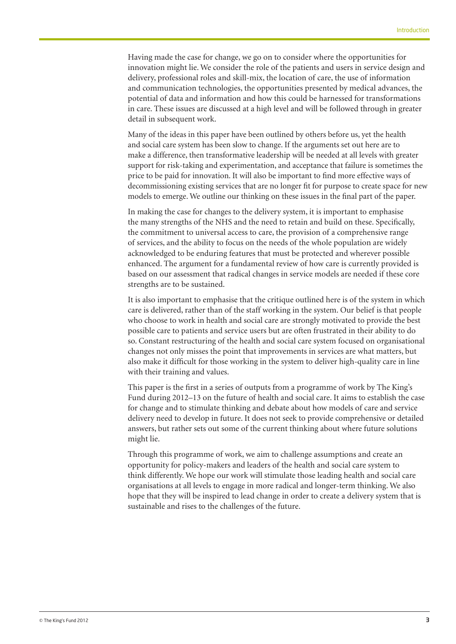Having made the case for change, we go on to consider where the opportunities for innovation might lie. We consider the role of the patients and users in service design and delivery, professional roles and skill-mix, the location of care, the use of information and communication technologies, the opportunities presented by medical advances, the potential of data and information and how this could be harnessed for transformations in care. These issues are discussed at a high level and will be followed through in greater detail in subsequent work.

Many of the ideas in this paper have been outlined by others before us, yet the health and social care system has been slow to change. If the arguments set out here are to make a difference, then transformative leadership will be needed at all levels with greater support for risk-taking and experimentation, and acceptance that failure is sometimes the price to be paid for innovation. It will also be important to find more effective ways of decommissioning existing services that are no longer fit for purpose to create space for new models to emerge. We outline our thinking on these issues in the final part of the paper.

In making the case for changes to the delivery system, it is important to emphasise the many strengths of the NHS and the need to retain and build on these. Specifically, the commitment to universal access to care, the provision of a comprehensive range of services, and the ability to focus on the needs of the whole population are widely acknowledged to be enduring features that must be protected and wherever possible enhanced. The argument for a fundamental review of how care is currently provided is based on our assessment that radical changes in service models are needed if these core strengths are to be sustained.

It is also important to emphasise that the critique outlined here is of the system in which care is delivered, rather than of the staff working in the system. Our belief is that people who choose to work in health and social care are strongly motivated to provide the best possible care to patients and service users but are often frustrated in their ability to do so. Constant restructuring of the health and social care system focused on organisational changes not only misses the point that improvements in services are what matters, but also make it difficult for those working in the system to deliver high-quality care in line with their training and values.

This paper is the first in a series of outputs from a programme of work by The King's Fund during 2012–13 on the future of health and social care. It aims to establish the case for change and to stimulate thinking and debate about how models of care and service delivery need to develop in future. It does not seek to provide comprehensive or detailed answers, but rather sets out some of the current thinking about where future solutions might lie.

Through this programme of work, we aim to challenge assumptions and create an opportunity for policy-makers and leaders of the health and social care system to think differently. We hope our work will stimulate those leading health and social care organisations at all levels to engage in more radical and longer-term thinking. We also hope that they will be inspired to lead change in order to create a delivery system that is sustainable and rises to the challenges of the future.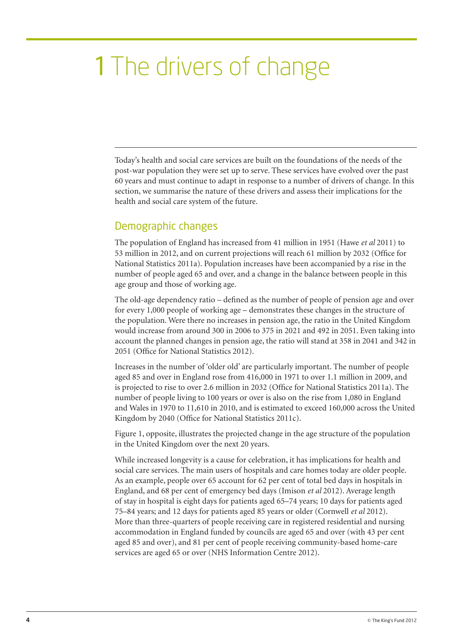# 1 The drivers of change

Today's health and social care services are built on the foundations of the needs of the post-war population they were set up to serve. These services have evolved over the past 60 years and must continue to adapt in response to a number of drivers of change. In this section, we summarise the nature of these drivers and assess their implications for the health and social care system of the future.

## Demographic changes

The population of England has increased from 41 million in 1951 (Hawe *et al* 2011) to 53 million in 2012, and on current projections will reach 61 million by 2032 (Office for National Statistics 2011a). Population increases have been accompanied by a rise in the number of people aged 65 and over, and a change in the balance between people in this age group and those of working age.

The old-age dependency ratio – defined as the number of people of pension age and over for every 1,000 people of working age – demonstrates these changes in the structure of the population. Were there no increases in pension age, the ratio in the United Kingdom would increase from around 300 in 2006 to 375 in 2021 and 492 in 2051. Even taking into account the planned changes in pension age, the ratio will stand at 358 in 2041 and 342 in 2051 (Office for National Statistics 2012).

Increases in the number of 'older old' are particularly important. The number of people aged 85 and over in England rose from 416,000 in 1971 to over 1.1 million in 2009, and is projected to rise to over 2.6 million in 2032 (Office for National Statistics 2011a). The number of people living to 100 years or over is also on the rise from 1,080 in England and Wales in 1970 to 11,610 in 2010, and is estimated to exceed 160,000 across the United Kingdom by 2040 (Office for National Statistics 2011c).

Figure 1, opposite, illustrates the projected change in the age structure of the population in the United Kingdom over the next 20 years.

While increased longevity is a cause for celebration, it has implications for health and social care services. The main users of hospitals and care homes today are older people. As an example, people over 65 account for 62 per cent of total bed days in hospitals in England, and 68 per cent of emergency bed days (Imison *et al* 2012). Average length of stay in hospital is eight days for patients aged 65–74 years; 10 days for patients aged 75–84 years; and 12 days for patients aged 85 years or older (Cornwell *et al* 2012). More than three-quarters of people receiving care in registered residential and nursing accommodation in England funded by councils are aged 65 and over (with 43 per cent aged 85 and over), and 81 per cent of people receiving community-based home-care services are aged 65 or over (NHS Information Centre 2012).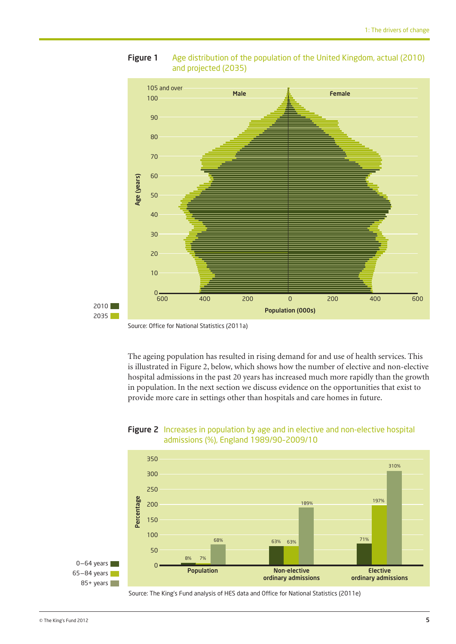

#### **Figure 1** Age distribution of the population of the United Kingdom, actual (2010) and projected (2035)

The ageing population has resulted in rising demand for and use of health services. This is illustrated in Figure 2, below, which shows how the number of elective and non-elective hospital admissions in the past 20 years has increased much more rapidly than the growth in population. In the next section we discuss evidence on the opportunities that exist to provide more care in settings other than hospitals and care homes in future.



#### Figure 2 Increases in population by age and in elective and non-elective hospital admissions (%), England 1989/90–2009/10

Source: The King's Fund analysis of HES data and Office for National Statistics (2011e)

Source: Office for National Statistics (2011a)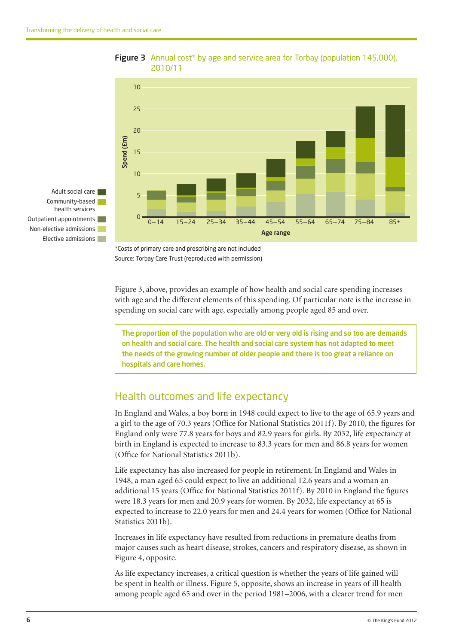

#### Figure 3 Annual cost\* by age and service area for Torbay (population 145,000), 2010/11

\*Costs of primary care and prescribing are not included Source: Torbay Care Trust (reproduced with permission)

Figure 3, above, provides an example of how health and social care spending increases with age and the different elements of this spending. Of particular note is the increase in spending on social care with age, especially among people aged 85 and over.

The proportion of the population who are old or very old is rising and so too are demands on health and social care. The health and social care system has not adapted to meet the needs of the growing number of older people and there is too great a reliance on hospitals and care homes.

## Health outcomes and life expectancy

In England and Wales, a boy born in 1948 could expect to live to the age of 65.9 years and a girl to the age of 70.3 years (Office for National Statistics 2011f). By 2010, the figures for England only were 77.8 years for boys and 82.9 years for girls. By 2032, life expectancy at birth in England is expected to increase to 83.3 years for men and 86.8 years for women (Office for National Statistics 2011b).

Life expectancy has also increased for people in retirement. In England and Wales in 1948, a man aged 65 could expect to live an additional 12.6 years and a woman an additional 15 years (Office for National Statistics 2011f). By 2010 in England the figures were 18.3 years for men and 20.9 years for women. By 2032, life expectancy at 65 is expected to increase to 22.0 years for men and 24.4 years for women (Office for National Statistics 2011b).

Increases in life expectancy have resulted from reductions in premature deaths from major causes such as heart disease, strokes, cancers and respiratory disease, as shown in Figure 4, opposite.

As life expectancy increases, a critical question is whether the years of life gained will be spent in health or illness. Figure 5, opposite, shows an increase in years of ill health among people aged 65 and over in the period 1981–2006, with a clearer trend for men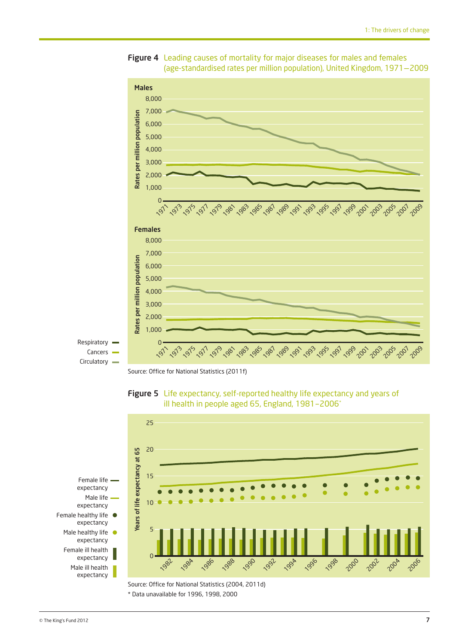

Figure 4 Leading causes of mortality for major diseases for males and females (age-standardised rates per million population), United Kingdom, 1971–2009

Source: Office for National Statistics (2011f)





\* Data unavailable for 1996, 1998, 2000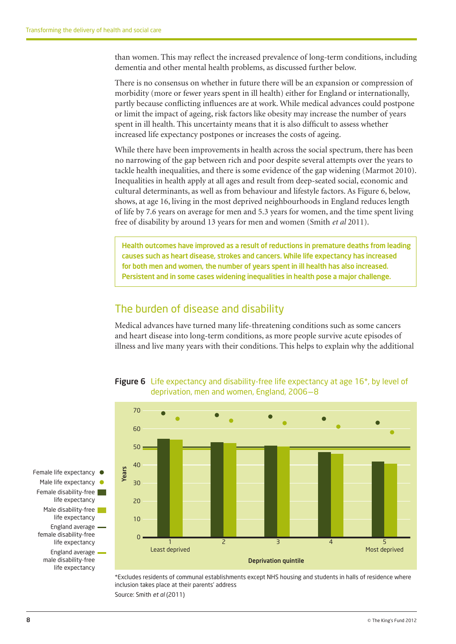than women. This may reflect the increased prevalence of long-term conditions, including dementia and other mental health problems, as discussed further below.

There is no consensus on whether in future there will be an expansion or compression of morbidity (more or fewer years spent in ill health) either for England or internationally, partly because conflicting influences are at work. While medical advances could postpone or limit the impact of ageing, risk factors like obesity may increase the number of years spent in ill health. This uncertainty means that it is also difficult to assess whether increased life expectancy postpones or increases the costs of ageing.

While there have been improvements in health across the social spectrum, there has been no narrowing of the gap between rich and poor despite several attempts over the years to tackle health inequalities, and there is some evidence of the gap widening (Marmot 2010). Inequalities in health apply at all ages and result from deep-seated social, economic and cultural determinants, as well as from behaviour and lifestyle factors. As Figure 6, below, shows, at age 16, living in the most deprived neighbourhoods in England reduces length of life by 7.6 years on average for men and 5.3 years for women, and the time spent living free of disability by around 13 years for men and women (Smith *et al* 2011).

Health outcomes have improved as a result of reductions in premature deaths from leading causes such as heart disease, strokes and cancers. While life expectancy has increased for both men and women, the number of years spent in ill health has also increased. Persistent and in some cases widening inequalities in health pose a major challenge.

## The burden of disease and disability

Medical advances have turned many life-threatening conditions such as some cancers and heart disease into long-term conditions, as more people survive acute episodes of illness and live many years with their conditions. This helps to explain why the additional





\*Excludes residents of communal establishments except NHS housing and students in halls of residence where inclusion takes place at their parents' address Source: Smith *et al* (2011)

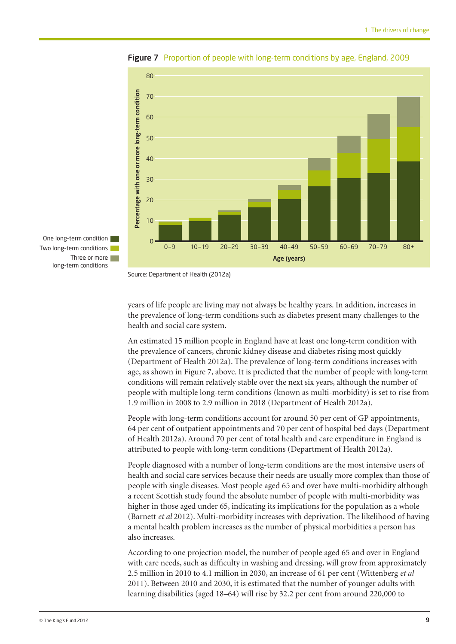

Figure 7 Proportion of people with long-term conditions by age, England, 2009

Source: Department of Health (2012a)

years of life people are living may not always be healthy years. In addition, increases in the prevalence of long-term conditions such as diabetes present many challenges to the health and social care system.

An estimated 15 million people in England have at least one long-term condition with the prevalence of cancers, chronic kidney disease and diabetes rising most quickly (Department of Health 2012a). The prevalence of long-term conditions increases with age, as shown in Figure 7, above. It is predicted that the number of people with long-term conditions will remain relatively stable over the next six years, although the number of people with multiple long-term conditions (known as multi-morbidity) is set to rise from 1.9 million in 2008 to 2.9 million in 2018 (Department of Health 2012a).

People with long-term conditions account for around 50 per cent of GP appointments, 64 per cent of outpatient appointments and 70 per cent of hospital bed days (Department of Health 2012a). Around 70 per cent of total health and care expenditure in England is attributed to people with long-term conditions (Department of Health 2012a).

People diagnosed with a number of long-term conditions are the most intensive users of health and social care services because their needs are usually more complex than those of people with single diseases. Most people aged 65 and over have multi-morbidity although a recent Scottish study found the absolute number of people with multi-morbidity was higher in those aged under 65, indicating its implications for the population as a whole (Barnett *et al* 2012). Multi-morbidity increases with deprivation. The likelihood of having a mental health problem increases as the number of physical morbidities a person has also increases.

According to one projection model, the number of people aged 65 and over in England with care needs, such as difficulty in washing and dressing, will grow from approximately 2.5 million in 2010 to 4.1 million in 2030, an increase of 61 per cent (Wittenberg *et al* 2011). Between 2010 and 2030, it is estimated that the number of younger adults with learning disabilities (aged 18–64) will rise by 32.2 per cent from around 220,000 to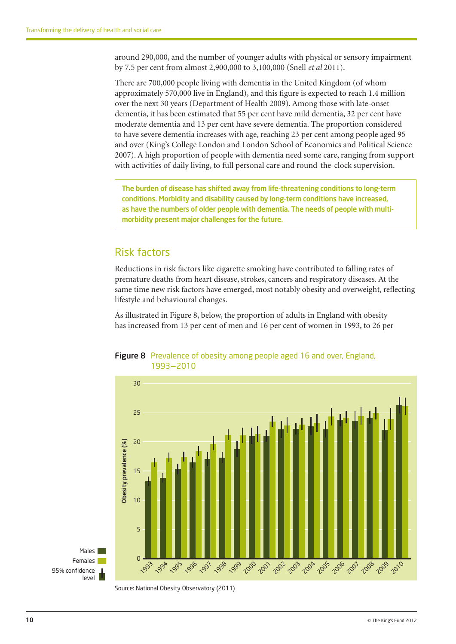around 290,000, and the number of younger adults with physical or sensory impairment by 7.5 per cent from almost 2,900,000 to 3,100,000 (Snell *et al* 2011).

There are 700,000 people living with dementia in the United Kingdom (of whom approximately 570,000 live in England), and this figure is expected to reach 1.4 million over the next 30 years (Department of Health 2009). Among those with late-onset dementia, it has been estimated that 55 per cent have mild dementia, 32 per cent have moderate dementia and 13 per cent have severe dementia. The proportion considered to have severe dementia increases with age, reaching 23 per cent among people aged 95 and over (King's College London and London School of Economics and Political Science 2007). A high proportion of people with dementia need some care, ranging from support with activities of daily living, to full personal care and round-the-clock supervision.

The burden of disease has shifted away from life-threatening conditions to long-term conditions. Morbidity and disability caused by long-term conditions have increased, as have the numbers of older people with dementia. The needs of people with multimorbidity present major challenges for the future.

## Risk factors

Reductions in risk factors like cigarette smoking have contributed to falling rates of premature deaths from heart disease, strokes, cancers and respiratory diseases. At the same time new risk factors have emerged, most notably obesity and overweight, reflecting lifestyle and behavioural changes.

As illustrated in Figure 8, below, the proportion of adults in England with obesity has increased from 13 per cent of men and 16 per cent of women in 1993, to 26 per



Figure 8 Prevalence of obesity among people aged 16 and over, England, 1993–2010

Source: National Obesity Observatory (2011)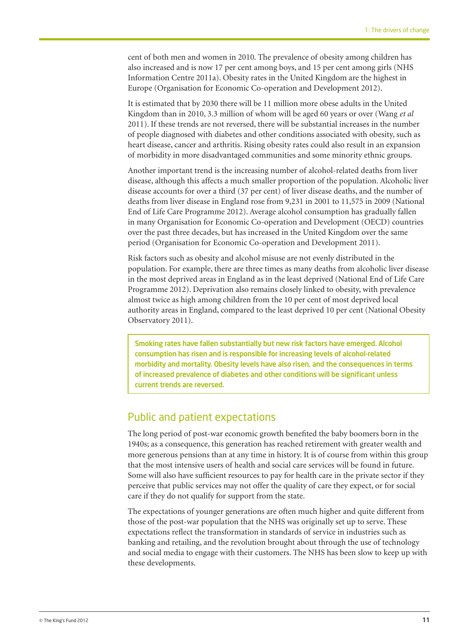cent of both men and women in 2010. The prevalence of obesity among children has also increased and is now 17 per cent among boys, and 15 per cent among girls (NHS Information Centre 2011a). Obesity rates in the United Kingdom are the highest in Europe (Organisation for Economic Co-operation and Development 2012).

It is estimated that by 2030 there will be 11 million more obese adults in the United Kingdom than in 2010, 3.3 million of whom will be aged 60 years or over (Wang *et al* 2011). If these trends are not reversed, there will be substantial increases in the number of people diagnosed with diabetes and other conditions associated with obesity, such as heart disease, cancer and arthritis. Rising obesity rates could also result in an expansion of morbidity in more disadvantaged communities and some minority ethnic groups.

Another important trend is the increasing number of alcohol-related deaths from liver disease, although this affects a much smaller proportion of the population. Alcoholic liver disease accounts for over a third (37 per cent) of liver disease deaths, and the number of deaths from liver disease in England rose from 9,231 in 2001 to 11,575 in 2009 (National End of Life Care Programme 2012). Average alcohol consumption has gradually fallen in many Organisation for Economic Co-operation and Development (OECD) countries over the past three decades, but has increased in the United Kingdom over the same period (Organisation for Economic Co-operation and Development 2011).

Risk factors such as obesity and alcohol misuse are not evenly distributed in the population. For example, there are three times as many deaths from alcoholic liver disease in the most deprived areas in England as in the least deprived (National End of Life Care Programme 2012). Deprivation also remains closely linked to obesity, with prevalence almost twice as high among children from the 10 per cent of most deprived local authority areas in England, compared to the least deprived 10 per cent (National Obesity Observatory 2011).

Smoking rates have fallen substantially but new risk factors have emerged. Alcohol consumption has risen and is responsible for increasing levels of alcohol-related morbidity and mortality. Obesity levels have also risen, and the consequences in terms of increased prevalence of diabetes and other conditions will be significant unless current trends are reversed.

#### Public and patient expectations

The long period of post-war economic growth benefited the baby boomers born in the 1940s; as a consequence, this generation has reached retirement with greater wealth and more generous pensions than at any time in history. It is of course from within this group that the most intensive users of health and social care services will be found in future. Some will also have sufficient resources to pay for health care in the private sector if they perceive that public services may not offer the quality of care they expect, or for social care if they do not qualify for support from the state.

The expectations of younger generations are often much higher and quite different from those of the post-war population that the NHS was originally set up to serve. These expectations reflect the transformation in standards of service in industries such as banking and retailing, and the revolution brought about through the use of technology and social media to engage with their customers. The NHS has been slow to keep up with these developments.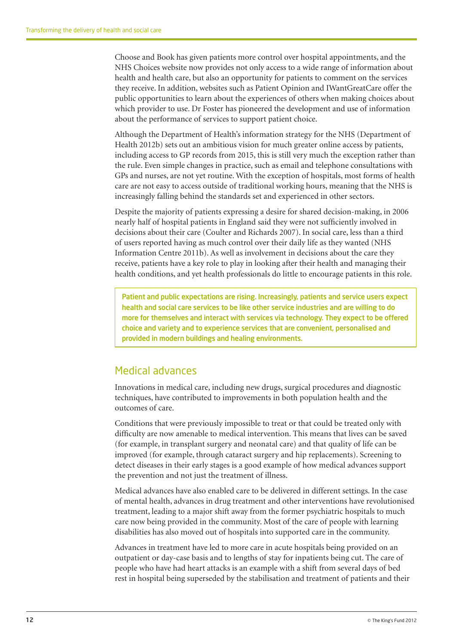Choose and Book has given patients more control over hospital appointments, and the NHS Choices website now provides not only access to a wide range of information about health and health care, but also an opportunity for patients to comment on the services they receive. In addition, websites such as Patient Opinion and IWantGreatCare offer the public opportunities to learn about the experiences of others when making choices about which provider to use. Dr Foster has pioneered the development and use of information about the performance of services to support patient choice.

Although the Department of Health's information strategy for the NHS (Department of Health 2012b) sets out an ambitious vision for much greater online access by patients, including access to GP records from 2015, this is still very much the exception rather than the rule. Even simple changes in practice, such as email and telephone consultations with GPs and nurses, are not yet routine. With the exception of hospitals, most forms of health care are not easy to access outside of traditional working hours, meaning that the NHS is increasingly falling behind the standards set and experienced in other sectors.

Despite the majority of patients expressing a desire for shared decision-making, in 2006 nearly half of hospital patients in England said they were not sufficiently involved in decisions about their care (Coulter and Richards 2007). In social care, less than a third of users reported having as much control over their daily life as they wanted (NHS Information Centre 2011b). As well as involvement in decisions about the care they receive, patients have a key role to play in looking after their health and managing their health conditions, and yet health professionals do little to encourage patients in this role.

Patient and public expectations are rising. Increasingly, patients and service users expect health and social care services to be like other service industries and are willing to do more for themselves and interact with services via technology. They expect to be offered choice and variety and to experience services that are convenient, personalised and provided in modern buildings and healing environments.

## Medical advances

Innovations in medical care, including new drugs, surgical procedures and diagnostic techniques, have contributed to improvements in both population health and the outcomes of care.

Conditions that were previously impossible to treat or that could be treated only with difficulty are now amenable to medical intervention. This means that lives can be saved (for example, in transplant surgery and neonatal care) and that quality of life can be improved (for example, through cataract surgery and hip replacements). Screening to detect diseases in their early stages is a good example of how medical advances support the prevention and not just the treatment of illness.

Medical advances have also enabled care to be delivered in different settings. In the case of mental health, advances in drug treatment and other interventions have revolutionised treatment, leading to a major shift away from the former psychiatric hospitals to much care now being provided in the community. Most of the care of people with learning disabilities has also moved out of hospitals into supported care in the community.

Advances in treatment have led to more care in acute hospitals being provided on an outpatient or day-case basis and to lengths of stay for inpatients being cut. The care of people who have had heart attacks is an example with a shift from several days of bed rest in hospital being superseded by the stabilisation and treatment of patients and their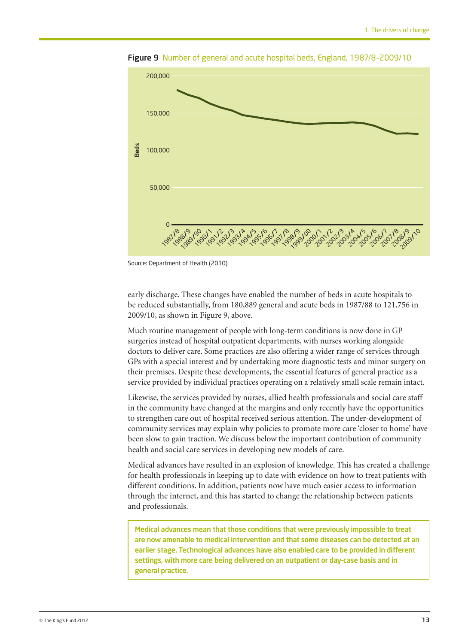

Figure 9 Number of general and acute hospital beds, England, 1987/8-2009/10

Source: Department of Health (2010)

early discharge. These changes have enabled the number of beds in acute hospitals to be reduced substantially, from 180,889 general and acute beds in 1987/88 to 121,756 in 2009/10, as shown in Figure 9, above.

Much routine management of people with long-term conditions is now done in GP surgeries instead of hospital outpatient departments, with nurses working alongside doctors to deliver care. Some practices are also offering a wider range of services through GPs with a special interest and by undertaking more diagnostic tests and minor surgery on their premises. Despite these developments, the essential features of general practice as a service provided by individual practices operating on a relatively small scale remain intact.

Likewise, the services provided by nurses, allied health professionals and social care staff in the community have changed at the margins and only recently have the opportunities to strengthen care out of hospital received serious attention. The under-development of community services may explain why policies to promote more care 'closer to home' have been slow to gain traction. We discuss below the important contribution of community health and social care services in developing new models of care.

Medical advances have resulted in an explosion of knowledge. This has created a challenge for health professionals in keeping up to date with evidence on how to treat patients with different conditions. In addition, patients now have much easier access to information through the internet, and this has started to change the relationship between patients and professionals.

Medical advances mean that those conditions that were previously impossible to treat are now amenable to medical intervention and that some diseases can be detected at an earlier stage. Technological advances have also enabled care to be provided in different settings, with more care being delivered on an outpatient or day-case basis and in general practice.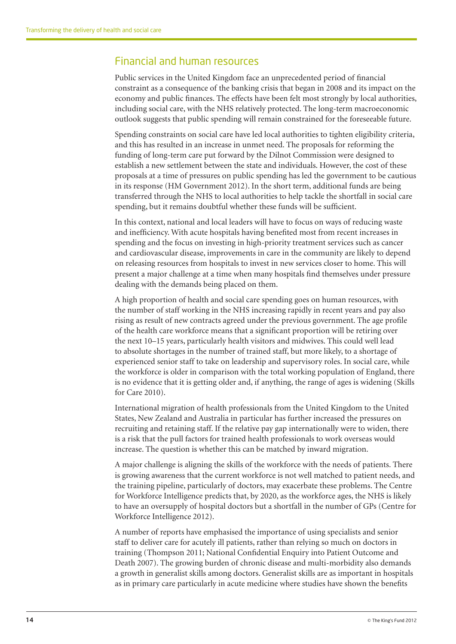## Financial and human resources

Public services in the United Kingdom face an unprecedented period of financial constraint as a consequence of the banking crisis that began in 2008 and its impact on the economy and public finances. The effects have been felt most strongly by local authorities, including social care, with the NHS relatively protected. The long-term macroeconomic outlook suggests that public spending will remain constrained for the foreseeable future.

Spending constraints on social care have led local authorities to tighten eligibility criteria, and this has resulted in an increase in unmet need. The proposals for reforming the funding of long-term care put forward by the Dilnot Commission were designed to establish a new settlement between the state and individuals. However, the cost of these proposals at a time of pressures on public spending has led the government to be cautious in its response (HM Government 2012). In the short term, additional funds are being transferred through the NHS to local authorities to help tackle the shortfall in social care spending, but it remains doubtful whether these funds will be sufficient.

In this context, national and local leaders will have to focus on ways of reducing waste and inefficiency. With acute hospitals having benefited most from recent increases in spending and the focus on investing in high-priority treatment services such as cancer and cardiovascular disease, improvements in care in the community are likely to depend on releasing resources from hospitals to invest in new services closer to home. This will present a major challenge at a time when many hospitals find themselves under pressure dealing with the demands being placed on them.

A high proportion of health and social care spending goes on human resources, with the number of staff working in the NHS increasing rapidly in recent years and pay also rising as result of new contracts agreed under the previous government. The age profile of the health care workforce means that a significant proportion will be retiring over the next 10–15 years, particularly health visitors and midwives. This could well lead to absolute shortages in the number of trained staff, but more likely, to a shortage of experienced senior staff to take on leadership and supervisory roles. In social care, while the workforce is older in comparison with the total working population of England, there is no evidence that it is getting older and, if anything, the range of ages is widening (Skills for Care 2010).

International migration of health professionals from the United Kingdom to the United States, New Zealand and Australia in particular has further increased the pressures on recruiting and retaining staff. If the relative pay gap internationally were to widen, there is a risk that the pull factors for trained health professionals to work overseas would increase. The question is whether this can be matched by inward migration.

A major challenge is aligning the skills of the workforce with the needs of patients. There is growing awareness that the current workforce is not well matched to patient needs, and the training pipeline, particularly of doctors, may exacerbate these problems. The Centre for Workforce Intelligence predicts that, by 2020, as the workforce ages, the NHS is likely to have an oversupply of hospital doctors but a shortfall in the number of GPs (Centre for Workforce Intelligence 2012).

A number of reports have emphasised the importance of using specialists and senior staff to deliver care for acutely ill patients, rather than relying so much on doctors in training (Thompson 2011; National Confidential Enquiry into Patient Outcome and Death 2007). The growing burden of chronic disease and multi-morbidity also demands a growth in generalist skills among doctors. Generalist skills are as important in hospitals as in primary care particularly in acute medicine where studies have shown the benefits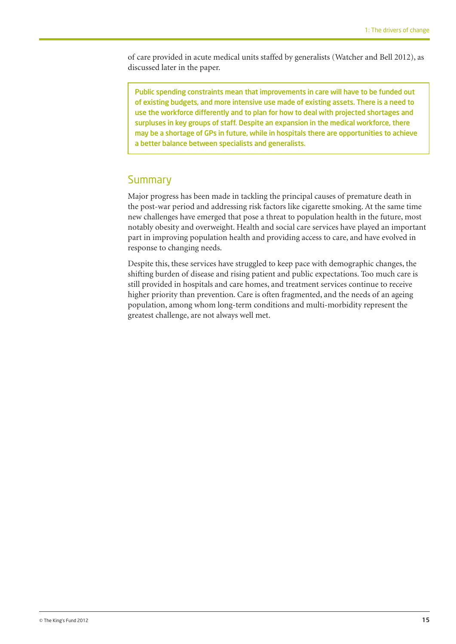of care provided in acute medical units staffed by generalists (Watcher and Bell 2012), as discussed later in the paper.

Public spending constraints mean that improvements in care will have to be funded out of existing budgets, and more intensive use made of existing assets. There is a need to use the workforce differently and to plan for how to deal with projected shortages and surpluses in key groups of staff. Despite an expansion in the medical workforce, there may be a shortage of GPs in future, while in hospitals there are opportunities to achieve a better balance between specialists and generalists.

#### **Summary**

Major progress has been made in tackling the principal causes of premature death in the post-war period and addressing risk factors like cigarette smoking. At the same time new challenges have emerged that pose a threat to population health in the future, most notably obesity and overweight. Health and social care services have played an important part in improving population health and providing access to care, and have evolved in response to changing needs.

Despite this, these services have struggled to keep pace with demographic changes, the shifting burden of disease and rising patient and public expectations. Too much care is still provided in hospitals and care homes, and treatment services continue to receive higher priority than prevention. Care is often fragmented, and the needs of an ageing population, among whom long-term conditions and multi-morbidity represent the greatest challenge, are not always well met.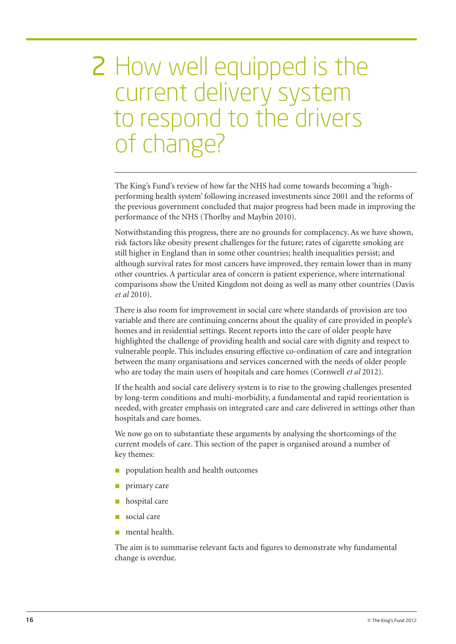## 2 How well equipped is the current delivery system to respond to the drivers of change?

The King's Fund's review of how far the NHS had come towards becoming a 'highperforming health system' following increased investments since 2001 and the reforms of the previous government concluded that major progress had been made in improving the performance of the NHS (Thorlby and Maybin 2010).

Notwithstanding this progress, there are no grounds for complacency. As we have shown, risk factors like obesity present challenges for the future; rates of cigarette smoking are still higher in England than in some other countries; health inequalities persist; and although survival rates for most cancers have improved, they remain lower than in many other countries. A particular area of concern is patient experience, where international comparisons show the United Kingdom not doing as well as many other countries (Davis *et al* 2010).

There is also room for improvement in social care where standards of provision are too variable and there are continuing concerns about the quality of care provided in people's homes and in residential settings. Recent reports into the care of older people have highlighted the challenge of providing health and social care with dignity and respect to vulnerable people. This includes ensuring effective co-ordination of care and integration between the many organisations and services concerned with the needs of older people who are today the main users of hospitals and care homes (Cornwell *et al* 2012).

If the health and social care delivery system is to rise to the growing challenges presented by long-term conditions and multi-morbidity, a fundamental and rapid reorientation is needed, with greater emphasis on integrated care and care delivered in settings other than hospitals and care homes.

We now go on to substantiate these arguments by analysing the shortcomings of the current models of care. This section of the paper is organised around a number of key themes:

- n population health and health outcomes
- primary care
- hospital care
- social care
- mental health.

The aim is to summarise relevant facts and figures to demonstrate why fundamental change is overdue.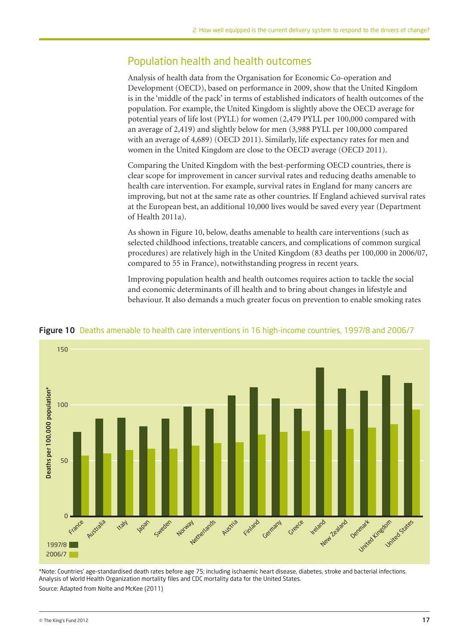## Population health and health outcomes

Analysis of health data from the Organisation for Economic Co-operation and Development (OECD), based on performance in 2009, show that the United Kingdom is in the 'middle of the pack' in terms of established indicators of health outcomes of the population. For example, the United Kingdom is slightly above the OECD average for potential years of life lost (PYLL) for women (2,479 PYLL per 100,000 compared with an average of 2,419) and slightly below for men (3,988 PYLL per 100,000 compared with an average of 4,689) (OECD 2011). Similarly, life expectancy rates for men and women in the United Kingdom are close to the OECD average (OECD 2011).

Comparing the United Kingdom with the best-performing OECD countries, there is clear scope for improvement in cancer survival rates and reducing deaths amenable to health care intervention. For example, survival rates in England for many cancers are improving, but not at the same rate as other countries. If England achieved survival rates at the European best, an additional 10,000 lives would be saved every year (Department of Health 2011a).

As shown in Figure 10, below, deaths amenable to health care interventions (such as selected childhood infections, treatable cancers, and complications of common surgical procedures) are relatively high in the United Kingdom (83 deaths per 100,000 in 2006/07, compared to 55 in France), notwithstanding progress in recent years.

Improving population health and health outcomes requires action to tackle the social and economic determinants of ill health and to bring about changes in lifestyle and behaviour. It also demands a much greater focus on prevention to enable smoking rates



#### Figure 10 Deaths amenable to health care interventions in 16 high-income countries, 1997/8 and 2006/7

\*Note: Countries' age-standardised death rates before age 75; including ischaemic heart disease, diabetes, stroke and bacterial infections. Analysis of World Health Organization mortality files and CDC mortality data for the United States. Source: Adapted from Nolte and McKee (2011)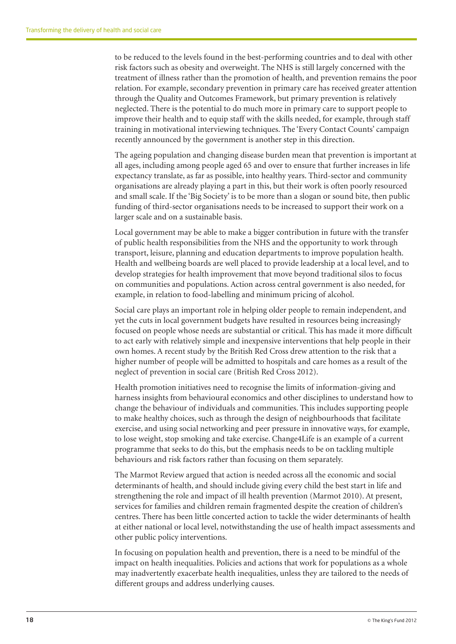to be reduced to the levels found in the best-performing countries and to deal with other risk factors such as obesity and overweight. The NHS is still largely concerned with the treatment of illness rather than the promotion of health, and prevention remains the poor relation. For example, secondary prevention in primary care has received greater attention through the Quality and Outcomes Framework, but primary prevention is relatively neglected. There is the potential to do much more in primary care to support people to improve their health and to equip staff with the skills needed, for example, through staff training in motivational interviewing techniques. The 'Every Contact Counts' campaign recently announced by the government is another step in this direction.

The ageing population and changing disease burden mean that prevention is important at all ages, including among people aged 65 and over to ensure that further increases in life expectancy translate, as far as possible, into healthy years. Third-sector and community organisations are already playing a part in this, but their work is often poorly resourced and small scale. If the 'Big Society' is to be more than a slogan or sound bite, then public funding of third-sector organisations needs to be increased to support their work on a larger scale and on a sustainable basis.

Local government may be able to make a bigger contribution in future with the transfer of public health responsibilities from the NHS and the opportunity to work through transport, leisure, planning and education departments to improve population health. Health and wellbeing boards are well placed to provide leadership at a local level, and to develop strategies for health improvement that move beyond traditional silos to focus on communities and populations. Action across central government is also needed, for example, in relation to food-labelling and minimum pricing of alcohol.

Social care plays an important role in helping older people to remain independent, and yet the cuts in local government budgets have resulted in resources being increasingly focused on people whose needs are substantial or critical. This has made it more difficult to act early with relatively simple and inexpensive interventions that help people in their own homes. A recent study by the British Red Cross drew attention to the risk that a higher number of people will be admitted to hospitals and care homes as a result of the neglect of prevention in social care (British Red Cross 2012).

Health promotion initiatives need to recognise the limits of information-giving and harness insights from behavioural economics and other disciplines to understand how to change the behaviour of individuals and communities. This includes supporting people to make healthy choices, such as through the design of neighbourhoods that facilitate exercise, and using social networking and peer pressure in innovative ways, for example, to lose weight, stop smoking and take exercise. Change4Life is an example of a current programme that seeks to do this, but the emphasis needs to be on tackling multiple behaviours and risk factors rather than focusing on them separately.

The Marmot Review argued that action is needed across all the economic and social determinants of health, and should include giving every child the best start in life and strengthening the role and impact of ill health prevention (Marmot 2010). At present, services for families and children remain fragmented despite the creation of children's centres. There has been little concerted action to tackle the wider determinants of health at either national or local level, notwithstanding the use of health impact assessments and other public policy interventions.

In focusing on population health and prevention, there is a need to be mindful of the impact on health inequalities. Policies and actions that work for populations as a whole may inadvertently exacerbate health inequalities, unless they are tailored to the needs of different groups and address underlying causes.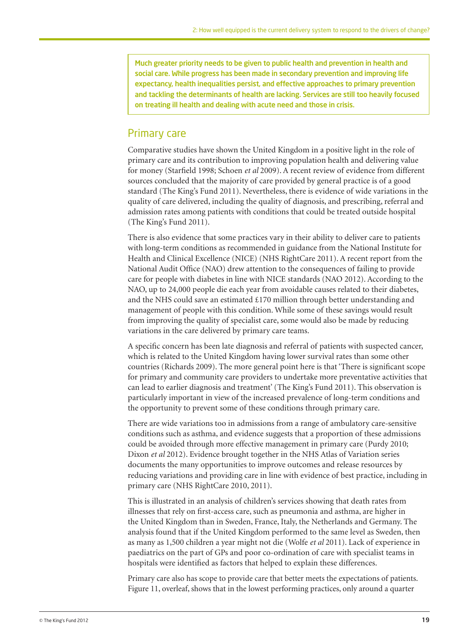Much greater priority needs to be given to public health and prevention in health and social care. While progress has been made in secondary prevention and improving life expectancy, health inequalities persist, and effective approaches to primary prevention and tackling the determinants of health are lacking. Services are still too heavily focused on treating ill health and dealing with acute need and those in crisis.

#### Primary care

Comparative studies have shown the United Kingdom in a positive light in the role of primary care and its contribution to improving population health and delivering value for money (Starfield 1998; Schoen *et al* 2009). A recent review of evidence from different sources concluded that the majority of care provided by general practice is of a good standard (The King's Fund 2011). Nevertheless, there is evidence of wide variations in the quality of care delivered, including the quality of diagnosis, and prescribing, referral and admission rates among patients with conditions that could be treated outside hospital (The King's Fund 2011).

There is also evidence that some practices vary in their ability to deliver care to patients with long-term conditions as recommended in guidance from the National Institute for Health and Clinical Excellence (NICE) (NHS RightCare 2011). A recent report from the National Audit Office (NAO) drew attention to the consequences of failing to provide care for people with diabetes in line with NICE standards (NAO 2012). According to the NAO, up to 24,000 people die each year from avoidable causes related to their diabetes, and the NHS could save an estimated £170 million through better understanding and management of people with this condition. While some of these savings would result from improving the quality of specialist care, some would also be made by reducing variations in the care delivered by primary care teams.

A specific concern has been late diagnosis and referral of patients with suspected cancer, which is related to the United Kingdom having lower survival rates than some other countries (Richards 2009). The more general point here is that 'There is significant scope for primary and community care providers to undertake more preventative activities that can lead to earlier diagnosis and treatment' (The King's Fund 2011). This observation is particularly important in view of the increased prevalence of long-term conditions and the opportunity to prevent some of these conditions through primary care.

There are wide variations too in admissions from a range of ambulatory care-sensitive conditions such as asthma, and evidence suggests that a proportion of these admissions could be avoided through more effective management in primary care (Purdy 2010; Dixon *et al* 2012). Evidence brought together in the NHS Atlas of Variation series documents the many opportunities to improve outcomes and release resources by reducing variations and providing care in line with evidence of best practice, including in primary care (NHS RightCare 2010, 2011).

This is illustrated in an analysis of children's services showing that death rates from illnesses that rely on first-access care, such as pneumonia and asthma, are higher in the United Kingdom than in Sweden, France, Italy, the Netherlands and Germany. The analysis found that if the United Kingdom performed to the same level as Sweden, then as many as 1,500 children a year might not die (Wolfe *et al* 2011). Lack of experience in paediatrics on the part of GPs and poor co-ordination of care with specialist teams in hospitals were identified as factors that helped to explain these differences.

Primary care also has scope to provide care that better meets the expectations of patients. Figure 11, overleaf, shows that in the lowest performing practices, only around a quarter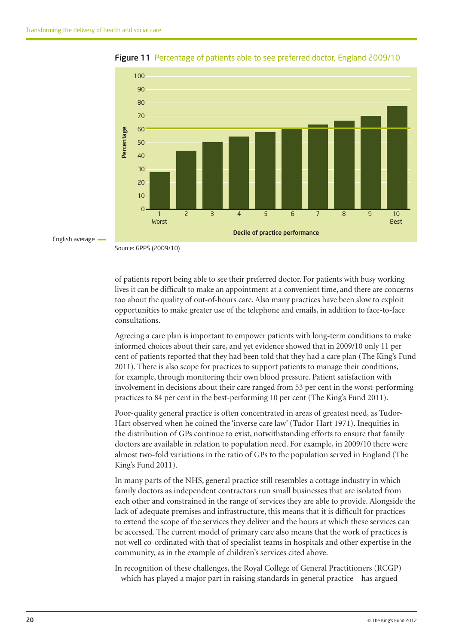



English average

of patients report being able to see their preferred doctor. For patients with busy working lives it can be difficult to make an appointment at a convenient time, and there are concerns too about the quality of out-of-hours care. Also many practices have been slow to exploit opportunities to make greater use of the telephone and emails, in addition to face-to-face consultations.

Agreeing a care plan is important to empower patients with long-term conditions to make informed choices about their care, and yet evidence showed that in 2009/10 only 11 per cent of patients reported that they had been told that they had a care plan (The King's Fund 2011). There is also scope for practices to support patients to manage their conditions, for example, through monitoring their own blood pressure. Patient satisfaction with involvement in decisions about their care ranged from 53 per cent in the worst-performing practices to 84 per cent in the best-performing 10 per cent (The King's Fund 2011).

Poor-quality general practice is often concentrated in areas of greatest need, as Tudor-Hart observed when he coined the 'inverse care law' (Tudor-Hart 1971). Inequities in the distribution of GPs continue to exist, notwithstanding efforts to ensure that family doctors are available in relation to population need. For example, in 2009/10 there were almost two-fold variations in the ratio of GPs to the population served in England (The King's Fund 2011).

In many parts of the NHS, general practice still resembles a cottage industry in which family doctors as independent contractors run small businesses that are isolated from each other and constrained in the range of services they are able to provide. Alongside the lack of adequate premises and infrastructure, this means that it is difficult for practices to extend the scope of the services they deliver and the hours at which these services can be accessed. The current model of primary care also means that the work of practices is not well co-ordinated with that of specialist teams in hospitals and other expertise in the community, as in the example of children's services cited above.

In recognition of these challenges, the Royal College of General Practitioners (RCGP) – which has played a major part in raising standards in general practice – has argued

Source: GPPS (2009/10)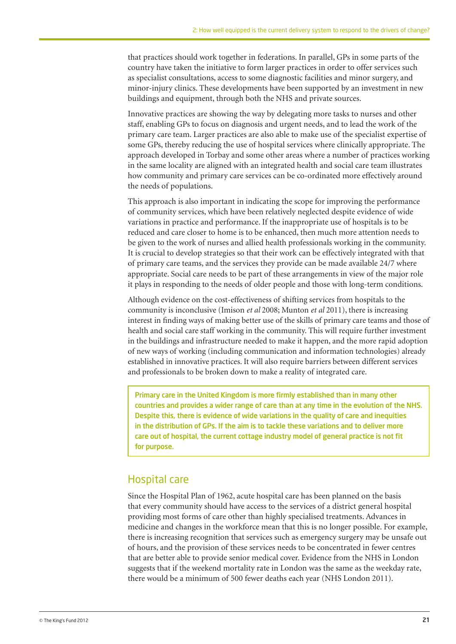that practices should work together in federations. In parallel, GPs in some parts of the country have taken the initiative to form larger practices in order to offer services such as specialist consultations, access to some diagnostic facilities and minor surgery, and minor-injury clinics. These developments have been supported by an investment in new buildings and equipment, through both the NHS and private sources.

Innovative practices are showing the way by delegating more tasks to nurses and other staff, enabling GPs to focus on diagnosis and urgent needs, and to lead the work of the primary care team. Larger practices are also able to make use of the specialist expertise of some GPs, thereby reducing the use of hospital services where clinically appropriate. The approach developed in Torbay and some other areas where a number of practices working in the same locality are aligned with an integrated health and social care team illustrates how community and primary care services can be co-ordinated more effectively around the needs of populations.

This approach is also important in indicating the scope for improving the performance of community services, which have been relatively neglected despite evidence of wide variations in practice and performance. If the inappropriate use of hospitals is to be reduced and care closer to home is to be enhanced, then much more attention needs to be given to the work of nurses and allied health professionals working in the community. It is crucial to develop strategies so that their work can be effectively integrated with that of primary care teams, and the services they provide can be made available 24/7 where appropriate. Social care needs to be part of these arrangements in view of the major role it plays in responding to the needs of older people and those with long-term conditions.

Although evidence on the cost-effectiveness of shifting services from hospitals to the community is inconclusive (Imison *et al* 2008; Munton *et al* 2011), there is increasing interest in finding ways of making better use of the skills of primary care teams and those of health and social care staff working in the community. This will require further investment in the buildings and infrastructure needed to make it happen, and the more rapid adoption of new ways of working (including communication and information technologies) already established in innovative practices. It will also require barriers between different services and professionals to be broken down to make a reality of integrated care.

Primary care in the United Kingdom is more firmly established than in many other countries and provides a wider range of care than at any time in the evolution of the NHS. Despite this, there is evidence of wide variations in the quality of care and inequities in the distribution of GPs. If the aim is to tackle these variations and to deliver more care out of hospital, the current cottage industry model of general practice is not fit for purpose.

## Hospital care

Since the Hospital Plan of 1962, acute hospital care has been planned on the basis that every community should have access to the services of a district general hospital providing most forms of care other than highly specialised treatments. Advances in medicine and changes in the workforce mean that this is no longer possible. For example, there is increasing recognition that services such as emergency surgery may be unsafe out of hours, and the provision of these services needs to be concentrated in fewer centres that are better able to provide senior medical cover. Evidence from the NHS in London suggests that if the weekend mortality rate in London was the same as the weekday rate, there would be a minimum of 500 fewer deaths each year (NHS London 2011).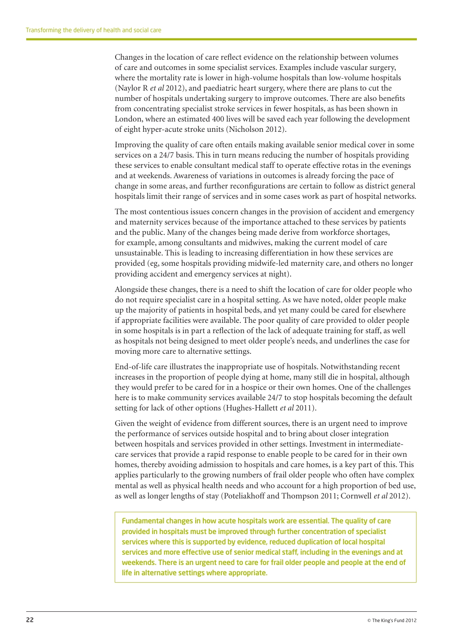Changes in the location of care reflect evidence on the relationship between volumes of care and outcomes in some specialist services. Examples include vascular surgery, where the mortality rate is lower in high-volume hospitals than low-volume hospitals (Naylor R *et al* 2012), and paediatric heart surgery, where there are plans to cut the number of hospitals undertaking surgery to improve outcomes. There are also benefits from concentrating specialist stroke services in fewer hospitals, as has been shown in London, where an estimated 400 lives will be saved each year following the development of eight hyper-acute stroke units (Nicholson 2012).

Improving the quality of care often entails making available senior medical cover in some services on a 24/7 basis. This in turn means reducing the number of hospitals providing these services to enable consultant medical staff to operate effective rotas in the evenings and at weekends. Awareness of variations in outcomes is already forcing the pace of change in some areas, and further reconfigurations are certain to follow as district general hospitals limit their range of services and in some cases work as part of hospital networks.

The most contentious issues concern changes in the provision of accident and emergency and maternity services because of the importance attached to these services by patients and the public. Many of the changes being made derive from workforce shortages, for example, among consultants and midwives, making the current model of care unsustainable. This is leading to increasing differentiation in how these services are provided (eg, some hospitals providing midwife-led maternity care, and others no longer providing accident and emergency services at night).

Alongside these changes, there is a need to shift the location of care for older people who do not require specialist care in a hospital setting. As we have noted, older people make up the majority of patients in hospital beds, and yet many could be cared for elsewhere if appropriate facilities were available. The poor quality of care provided to older people in some hospitals is in part a reflection of the lack of adequate training for staff, as well as hospitals not being designed to meet older people's needs, and underlines the case for moving more care to alternative settings.

End-of-life care illustrates the inappropriate use of hospitals. Notwithstanding recent increases in the proportion of people dying at home, many still die in hospital, although they would prefer to be cared for in a hospice or their own homes. One of the challenges here is to make community services available 24/7 to stop hospitals becoming the default setting for lack of other options (Hughes-Hallett *et al* 2011).

Given the weight of evidence from different sources, there is an urgent need to improve the performance of services outside hospital and to bring about closer integration between hospitals and services provided in other settings. Investment in intermediatecare services that provide a rapid response to enable people to be cared for in their own homes, thereby avoiding admission to hospitals and care homes, is a key part of this. This applies particularly to the growing numbers of frail older people who often have complex mental as well as physical health needs and who account for a high proportion of bed use, as well as longer lengths of stay (Poteliakhoff and Thompson 2011; Cornwell *et al* 2012).

Fundamental changes in how acute hospitals work are essential. The quality of care provided in hospitals must be improved through further concentration of specialist services where this is supported by evidence, reduced duplication of local hospital services and more effective use of senior medical staff, including in the evenings and at weekends. There is an urgent need to care for frail older people and people at the end of life in alternative settings where appropriate.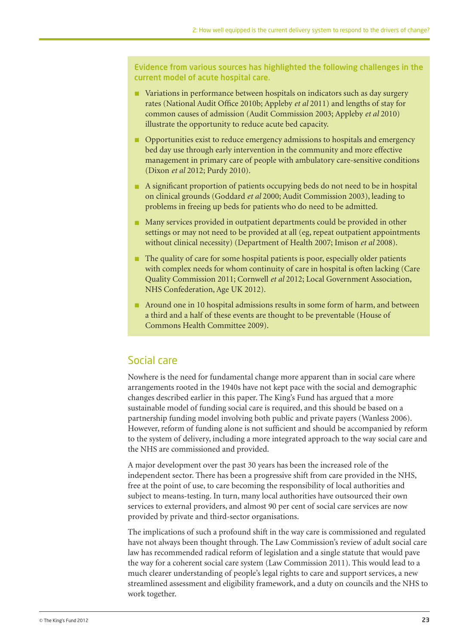Evidence from various sources has highlighted the following challenges in the current model of acute hospital care.

- n Variations in performance between hospitals on indicators such as day surgery rates (National Audit Office 2010b; Appleby *et al* 2011) and lengths of stay for common causes of admission (Audit Commission 2003; Appleby *et al* 2010) illustrate the opportunity to reduce acute bed capacity.
- **n** Opportunities exist to reduce emergency admissions to hospitals and emergency bed day use through early intervention in the community and more effective management in primary care of people with ambulatory care-sensitive conditions (Dixon *et al* 2012; Purdy 2010).
- n A significant proportion of patients occupying beds do not need to be in hospital on clinical grounds (Goddard *et al* 2000; Audit Commission 2003), leading to problems in freeing up beds for patients who do need to be admitted.
- n Many services provided in outpatient departments could be provided in other settings or may not need to be provided at all (eg, repeat outpatient appointments without clinical necessity) (Department of Health 2007; Imison *et al* 2008).
- $\blacksquare$  The quality of care for some hospital patients is poor, especially older patients with complex needs for whom continuity of care in hospital is often lacking (Care Quality Commission 2011; Cornwell *et al* 2012; Local Government Association, NHS Confederation, Age UK 2012).
- n Around one in 10 hospital admissions results in some form of harm, and between a third and a half of these events are thought to be preventable (House of Commons Health Committee 2009).

## Social care

Nowhere is the need for fundamental change more apparent than in social care where arrangements rooted in the 1940s have not kept pace with the social and demographic changes described earlier in this paper. The King's Fund has argued that a more sustainable model of funding social care is required, and this should be based on a partnership funding model involving both public and private payers (Wanless 2006). However, reform of funding alone is not sufficient and should be accompanied by reform to the system of delivery, including a more integrated approach to the way social care and the NHS are commissioned and provided.

A major development over the past 30 years has been the increased role of the independent sector. There has been a progressive shift from care provided in the NHS, free at the point of use, to care becoming the responsibility of local authorities and subject to means-testing. In turn, many local authorities have outsourced their own services to external providers, and almost 90 per cent of social care services are now provided by private and third-sector organisations.

The implications of such a profound shift in the way care is commissioned and regulated have not always been thought through. The Law Commission's review of adult social care law has recommended radical reform of legislation and a single statute that would pave the way for a coherent social care system (Law Commission 2011). This would lead to a much clearer understanding of people's legal rights to care and support services, a new streamlined assessment and eligibility framework, and a duty on councils and the NHS to work together.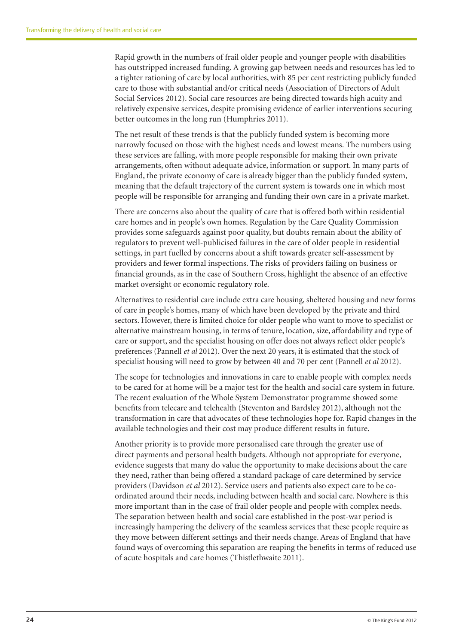Rapid growth in the numbers of frail older people and younger people with disabilities has outstripped increased funding. A growing gap between needs and resources has led to a tighter rationing of care by local authorities, with 85 per cent restricting publicly funded care to those with substantial and/or critical needs (Association of Directors of Adult Social Services 2012). Social care resources are being directed towards high acuity and relatively expensive services, despite promising evidence of earlier interventions securing better outcomes in the long run (Humphries 2011).

The net result of these trends is that the publicly funded system is becoming more narrowly focused on those with the highest needs and lowest means. The numbers using these services are falling, with more people responsible for making their own private arrangements, often without adequate advice, information or support. In many parts of England, the private economy of care is already bigger than the publicly funded system, meaning that the default trajectory of the current system is towards one in which most people will be responsible for arranging and funding their own care in a private market.

There are concerns also about the quality of care that is offered both within residential care homes and in people's own homes. Regulation by the Care Quality Commission provides some safeguards against poor quality, but doubts remain about the ability of regulators to prevent well-publicised failures in the care of older people in residential settings, in part fuelled by concerns about a shift towards greater self-assessment by providers and fewer formal inspections. The risks of providers failing on business or financial grounds, as in the case of Southern Cross, highlight the absence of an effective market oversight or economic regulatory role.

Alternatives to residential care include extra care housing, sheltered housing and new forms of care in people's homes, many of which have been developed by the private and third sectors. However, there is limited choice for older people who want to move to specialist or alternative mainstream housing, in terms of tenure, location, size, affordability and type of care or support, and the specialist housing on offer does not always reflect older people's preferences (Pannell *et al* 2012). Over the next 20 years, it is estimated that the stock of specialist housing will need to grow by between 40 and 70 per cent (Pannell *et al* 2012).

The scope for technologies and innovations in care to enable people with complex needs to be cared for at home will be a major test for the health and social care system in future. The recent evaluation of the Whole System Demonstrator programme showed some benefits from telecare and telehealth (Steventon and Bardsley 2012), although not the transformation in care that advocates of these technologies hope for. Rapid changes in the available technologies and their cost may produce different results in future.

Another priority is to provide more personalised care through the greater use of direct payments and personal health budgets. Although not appropriate for everyone, evidence suggests that many do value the opportunity to make decisions about the care they need, rather than being offered a standard package of care determined by service providers (Davidson *et al* 2012). Service users and patients also expect care to be coordinated around their needs, including between health and social care. Nowhere is this more important than in the case of frail older people and people with complex needs. The separation between health and social care established in the post-war period is increasingly hampering the delivery of the seamless services that these people require as they move between different settings and their needs change. Areas of England that have found ways of overcoming this separation are reaping the benefits in terms of reduced use of acute hospitals and care homes (Thistlethwaite 2011).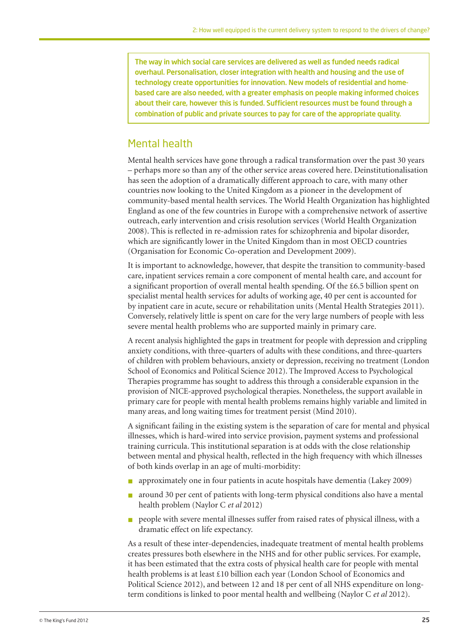The way in which social care services are delivered as well as funded needs radical overhaul. Personalisation, closer integration with health and housing and the use of technology create opportunities for innovation. New models of residential and homebased care are also needed, with a greater emphasis on people making informed choices about their care, however this is funded. Sufficient resources must be found through a combination of public and private sources to pay for care of the appropriate quality.

## Mental health

Mental health services have gone through a radical transformation over the past 30 years – perhaps more so than any of the other service areas covered here. Deinstitutionalisation has seen the adoption of a dramatically different approach to care, with many other countries now looking to the United Kingdom as a pioneer in the development of community-based mental health services. The World Health Organization has highlighted England as one of the few countries in Europe with a comprehensive network of assertive outreach, early intervention and crisis resolution services (World Health Organization 2008). This is reflected in re-admission rates for schizophrenia and bipolar disorder, which are significantly lower in the United Kingdom than in most OECD countries (Organisation for Economic Co-operation and Development 2009).

It is important to acknowledge, however, that despite the transition to community-based care, inpatient services remain a core component of mental health care, and account for a significant proportion of overall mental health spending. Of the £6.5 billion spent on specialist mental health services for adults of working age, 40 per cent is accounted for by inpatient care in acute, secure or rehabilitation units (Mental Health Strategies 2011). Conversely, relatively little is spent on care for the very large numbers of people with less severe mental health problems who are supported mainly in primary care.

A recent analysis highlighted the gaps in treatment for people with depression and crippling anxiety conditions, with three-quarters of adults with these conditions, and three-quarters of children with problem behaviours, anxiety or depression, receiving no treatment (London School of Economics and Political Science 2012). The Improved Access to Psychological Therapies programme has sought to address this through a considerable expansion in the provision of NICE-approved psychological therapies. Nonetheless, the support available in primary care for people with mental health problems remains highly variable and limited in many areas, and long waiting times for treatment persist (Mind 2010).

A significant failing in the existing system is the separation of care for mental and physical illnesses, which is hard-wired into service provision, payment systems and professional training curricula. This institutional separation is at odds with the close relationship between mental and physical health, reflected in the high frequency with which illnesses of both kinds overlap in an age of multi-morbidity:

- n approximately one in four patients in acute hospitals have dementia (Lakey 2009)
- n around 30 per cent of patients with long-term physical conditions also have a mental health problem (Naylor C *et al* 2012)
- n people with severe mental illnesses suffer from raised rates of physical illness, with a dramatic effect on life expectancy.

As a result of these inter-dependencies, inadequate treatment of mental health problems creates pressures both elsewhere in the NHS and for other public services. For example, it has been estimated that the extra costs of physical health care for people with mental health problems is at least £10 billion each year (London School of Economics and Political Science 2012), and between 12 and 18 per cent of all NHS expenditure on longterm conditions is linked to poor mental health and wellbeing (Naylor C *et al* 2012).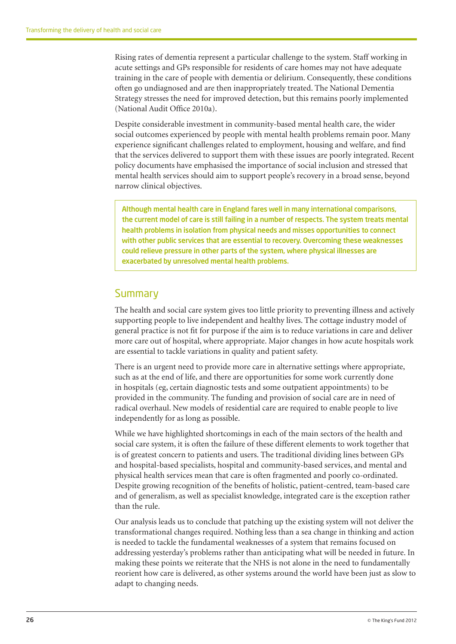Rising rates of dementia represent a particular challenge to the system. Staff working in acute settings and GPs responsible for residents of care homes may not have adequate training in the care of people with dementia or delirium. Consequently, these conditions often go undiagnosed and are then inappropriately treated. The National Dementia Strategy stresses the need for improved detection, but this remains poorly implemented (National Audit Office 2010a).

Despite considerable investment in community-based mental health care, the wider social outcomes experienced by people with mental health problems remain poor. Many experience significant challenges related to employment, housing and welfare, and find that the services delivered to support them with these issues are poorly integrated. Recent policy documents have emphasised the importance of social inclusion and stressed that mental health services should aim to support people's recovery in a broad sense, beyond narrow clinical objectives.

Although mental health care in England fares well in many international comparisons, the current model of care is still failing in a number of respects. The system treats mental health problems in isolation from physical needs and misses opportunities to connect with other public services that are essential to recovery. Overcoming these weaknesses could relieve pressure in other parts of the system, where physical illnesses are exacerbated by unresolved mental health problems.

#### **Summary**

The health and social care system gives too little priority to preventing illness and actively supporting people to live independent and healthy lives. The cottage industry model of general practice is not fit for purpose if the aim is to reduce variations in care and deliver more care out of hospital, where appropriate. Major changes in how acute hospitals work are essential to tackle variations in quality and patient safety.

There is an urgent need to provide more care in alternative settings where appropriate, such as at the end of life, and there are opportunities for some work currently done in hospitals (eg, certain diagnostic tests and some outpatient appointments) to be provided in the community. The funding and provision of social care are in need of radical overhaul. New models of residential care are required to enable people to live independently for as long as possible.

While we have highlighted shortcomings in each of the main sectors of the health and social care system, it is often the failure of these different elements to work together that is of greatest concern to patients and users. The traditional dividing lines between GPs and hospital-based specialists, hospital and community-based services, and mental and physical health services mean that care is often fragmented and poorly co-ordinated. Despite growing recognition of the benefits of holistic, patient-centred, team-based care and of generalism, as well as specialist knowledge, integrated care is the exception rather than the rule.

Our analysis leads us to conclude that patching up the existing system will not deliver the transformational changes required. Nothing less than a sea change in thinking and action is needed to tackle the fundamental weaknesses of a system that remains focused on addressing yesterday's problems rather than anticipating what will be needed in future. In making these points we reiterate that the NHS is not alone in the need to fundamentally reorient how care is delivered, as other systems around the world have been just as slow to adapt to changing needs.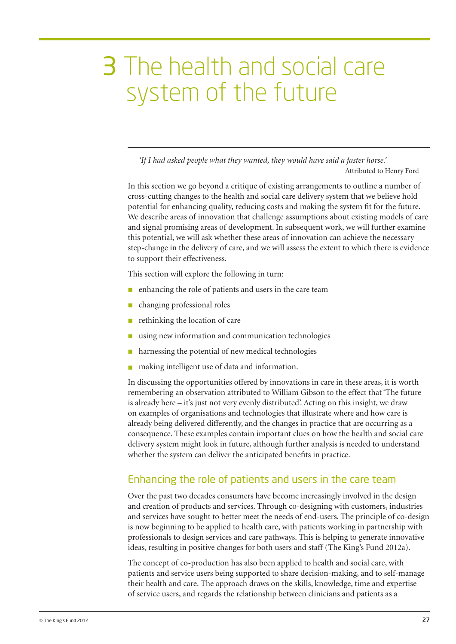## 3 The health and social care system of the future

*'If I had asked people what they wanted, they would have said a faster horse.'* Attributed to Henry Ford

In this section we go beyond a critique of existing arrangements to outline a number of cross-cutting changes to the health and social care delivery system that we believe hold potential for enhancing quality, reducing costs and making the system fit for the future. We describe areas of innovation that challenge assumptions about existing models of care and signal promising areas of development. In subsequent work, we will further examine this potential, we will ask whether these areas of innovation can achieve the necessary step-change in the delivery of care, and we will assess the extent to which there is evidence to support their effectiveness.

This section will explore the following in turn:

- $\blacksquare$  enhancing the role of patients and users in the care team
- $\blacksquare$  changing professional roles
- $\blacksquare$  rethinking the location of care
- using new information and communication technologies
- harnessing the potential of new medical technologies
- making intelligent use of data and information.

In discussing the opportunities offered by innovations in care in these areas, it is worth remembering an observation attributed to William Gibson to the effect that 'The future is already here – it's just not very evenly distributed'. Acting on this insight, we draw on examples of organisations and technologies that illustrate where and how care is already being delivered differently, and the changes in practice that are occurring as a consequence. These examples contain important clues on how the health and social care delivery system might look in future, although further analysis is needed to understand whether the system can deliver the anticipated benefits in practice.

## Enhancing the role of patients and users in the care team

Over the past two decades consumers have become increasingly involved in the design and creation of products and services. Through co-designing with customers, industries and services have sought to better meet the needs of end-users. The principle of co-design is now beginning to be applied to health care, with patients working in partnership with professionals to design services and care pathways. This is helping to generate innovative ideas, resulting in positive changes for both users and staff (The King's Fund 2012a).

The concept of co-production has also been applied to health and social care, with patients and service users being supported to share decision-making, and to self-manage their health and care. The approach draws on the skills, knowledge, time and expertise of service users, and regards the relationship between clinicians and patients as a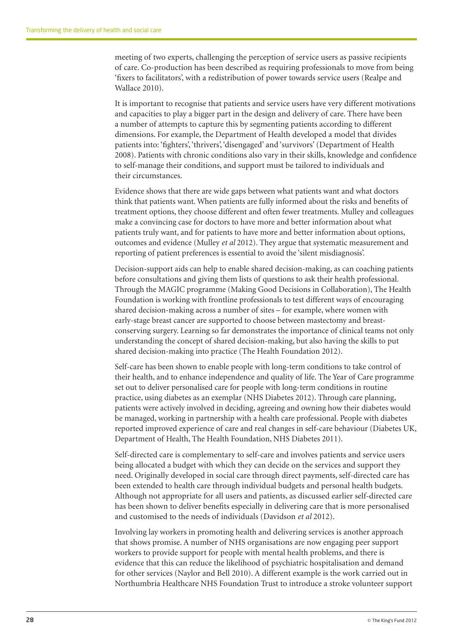meeting of two experts, challenging the perception of service users as passive recipients of care. Co-production has been described as requiring professionals to move from being 'fixers to facilitators', with a redistribution of power towards service users (Realpe and Wallace 2010).

It is important to recognise that patients and service users have very different motivations and capacities to play a bigger part in the design and delivery of care. There have been a number of attempts to capture this by segmenting patients according to different dimensions. For example, the Department of Health developed a model that divides patients into: 'fighters', 'thrivers', 'disengaged' and 'survivors' (Department of Health 2008). Patients with chronic conditions also vary in their skills, knowledge and confidence to self-manage their conditions, and support must be tailored to individuals and their circumstances.

Evidence shows that there are wide gaps between what patients want and what doctors think that patients want. When patients are fully informed about the risks and benefits of treatment options, they choose different and often fewer treatments. Mulley and colleagues make a convincing case for doctors to have more and better information about what patients truly want, and for patients to have more and better information about options, outcomes and evidence (Mulley *et al* 2012). They argue that systematic measurement and reporting of patient preferences is essential to avoid the 'silent misdiagnosis'.

Decision-support aids can help to enable shared decision-making, as can coaching patients before consultations and giving them lists of questions to ask their health professional. Through the MAGIC programme (Making Good Decisions in Collaboration), The Health Foundation is working with frontline professionals to test different ways of encouraging shared decision-making across a number of sites – for example, where women with early-stage breast cancer are supported to choose between mastectomy and breastconserving surgery. Learning so far demonstrates the importance of clinical teams not only understanding the concept of shared decision-making, but also having the skills to put shared decision-making into practice (The Health Foundation 2012).

Self-care has been shown to enable people with long-term conditions to take control of their health, and to enhance independence and quality of life. The Year of Care programme set out to deliver personalised care for people with long-term conditions in routine practice, using diabetes as an exemplar (NHS Diabetes 2012). Through care planning, patients were actively involved in deciding, agreeing and owning how their diabetes would be managed, working in partnership with a health care professional. People with diabetes reported improved experience of care and real changes in self-care behaviour (Diabetes UK, Department of Health, The Health Foundation, NHS Diabetes 2011).

Self-directed care is complementary to self-care and involves patients and service users being allocated a budget with which they can decide on the services and support they need. Originally developed in social care through direct payments, self-directed care has been extended to health care through individual budgets and personal health budgets. Although not appropriate for all users and patients, as discussed earlier self-directed care has been shown to deliver benefits especially in delivering care that is more personalised and customised to the needs of individuals (Davidson *et al* 2012).

Involving lay workers in promoting health and delivering services is another approach that shows promise. A number of NHS organisations are now engaging peer support workers to provide support for people with mental health problems, and there is evidence that this can reduce the likelihood of psychiatric hospitalisation and demand for other services (Naylor and Bell 2010). A different example is the work carried out in Northumbria Healthcare NHS Foundation Trust to introduce a stroke volunteer support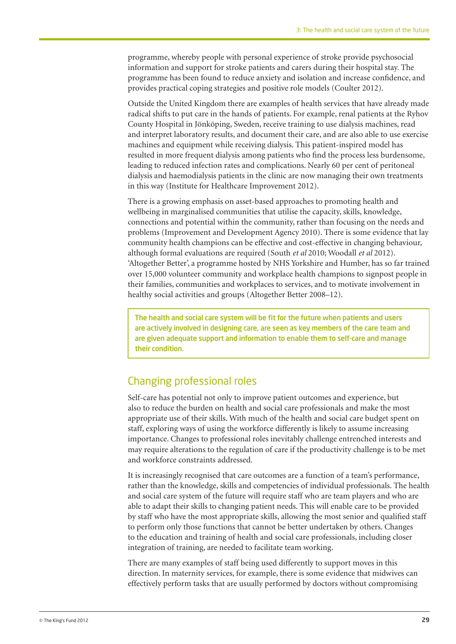programme, whereby people with personal experience of stroke provide psychosocial information and support for stroke patients and carers during their hospital stay. The programme has been found to reduce anxiety and isolation and increase confidence, and provides practical coping strategies and positive role models (Coulter 2012).

Outside the United Kingdom there are examples of health services that have already made radical shifts to put care in the hands of patients. For example, renal patients at the Ryhov County Hospital in Jönköping, Sweden, receive training to use dialysis machines, read and interpret laboratory results, and document their care, and are also able to use exercise machines and equipment while receiving dialysis. This patient-inspired model has resulted in more frequent dialysis among patients who find the process less burdensome, leading to reduced infection rates and complications. Nearly 60 per cent of peritoneal dialysis and haemodialysis patients in the clinic are now managing their own treatments in this way (Institute for Healthcare Improvement 2012).

There is a growing emphasis on asset-based approaches to promoting health and wellbeing in marginalised communities that utilise the capacity, skills, knowledge, connections and potential within the community, rather than focusing on the needs and problems (Improvement and Development Agency 2010). There is some evidence that lay community health champions can be effective and cost-effective in changing behaviour, although formal evaluations are required (South *et al* 2010; Woodall *et al* 2012). 'Altogether Better', a programme hosted by NHS Yorkshire and Humber, has so far trained over 15,000 volunteer community and workplace health champions to signpost people in their families, communities and workplaces to services, and to motivate involvement in healthy social activities and groups (Altogether Better 2008–12).

The health and social care system will be fit for the future when patients and users are actively involved in designing care, are seen as key members of the care team and are given adequate support and information to enable them to self-care and manage their condition.

## Changing professional roles

Self-care has potential not only to improve patient outcomes and experience, but also to reduce the burden on health and social care professionals and make the most appropriate use of their skills. With much of the health and social care budget spent on staff, exploring ways of using the workforce differently is likely to assume increasing importance. Changes to professional roles inevitably challenge entrenched interests and may require alterations to the regulation of care if the productivity challenge is to be met and workforce constraints addressed.

It is increasingly recognised that care outcomes are a function of a team's performance, rather than the knowledge, skills and competencies of individual professionals. The health and social care system of the future will require staff who are team players and who are able to adapt their skills to changing patient needs. This will enable care to be provided by staff who have the most appropriate skills, allowing the most senior and qualified staff to perform only those functions that cannot be better undertaken by others. Changes to the education and training of health and social care professionals, including closer integration of training, are needed to facilitate team working.

There are many examples of staff being used differently to support moves in this direction. In maternity services, for example, there is some evidence that midwives can effectively perform tasks that are usually performed by doctors without compromising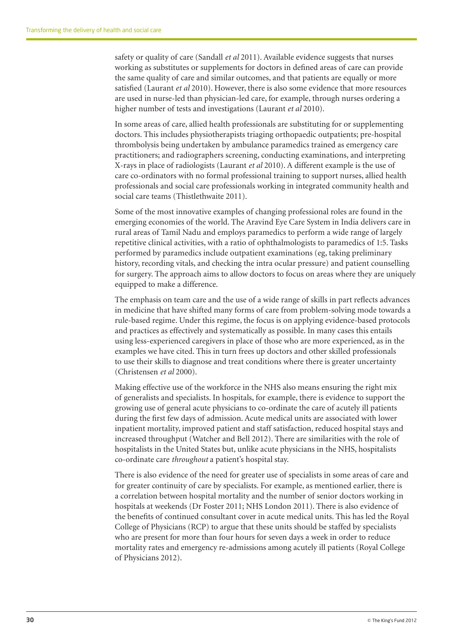safety or quality of care (Sandall *et al* 2011). Available evidence suggests that nurses working as substitutes or supplements for doctors in defined areas of care can provide the same quality of care and similar outcomes, and that patients are equally or more satisfied (Laurant *et al* 2010). However, there is also some evidence that more resources are used in nurse-led than physician-led care, for example, through nurses ordering a higher number of tests and investigations (Laurant *et al* 2010).

In some areas of care, allied health professionals are substituting for or supplementing doctors. This includes physiotherapists triaging orthopaedic outpatients; pre-hospital thrombolysis being undertaken by ambulance paramedics trained as emergency care practitioners; and radiographers screening, conducting examinations, and interpreting X-rays in place of radiologists (Laurant *et al* 2010). A different example is the use of care co-ordinators with no formal professional training to support nurses, allied health professionals and social care professionals working in integrated community health and social care teams (Thistlethwaite 2011).

Some of the most innovative examples of changing professional roles are found in the emerging economies of the world. The Aravind Eye Care System in India delivers care in rural areas of Tamil Nadu and employs paramedics to perform a wide range of largely repetitive clinical activities, with a ratio of ophthalmologists to paramedics of 1:5. Tasks performed by paramedics include outpatient examinations (eg, taking preliminary history, recording vitals, and checking the intra ocular pressure) and patient counselling for surgery. The approach aims to allow doctors to focus on areas where they are uniquely equipped to make a difference.

The emphasis on team care and the use of a wide range of skills in part reflects advances in medicine that have shifted many forms of care from problem-solving mode towards a rule-based regime. Under this regime, the focus is on applying evidence-based protocols and practices as effectively and systematically as possible. In many cases this entails using less-experienced caregivers in place of those who are more experienced, as in the examples we have cited. This in turn frees up doctors and other skilled professionals to use their skills to diagnose and treat conditions where there is greater uncertainty (Christensen *et al* 2000).

Making effective use of the workforce in the NHS also means ensuring the right mix of generalists and specialists. In hospitals, for example, there is evidence to support the growing use of general acute physicians to co-ordinate the care of acutely ill patients during the first few days of admission. Acute medical units are associated with lower inpatient mortality, improved patient and staff satisfaction, reduced hospital stays and increased throughput (Watcher and Bell 2012). There are similarities with the role of hospitalists in the United States but, unlike acute physicians in the NHS, hospitalists co-ordinate care *throughout* a patient's hospital stay.

There is also evidence of the need for greater use of specialists in some areas of care and for greater continuity of care by specialists. For example, as mentioned earlier, there is a correlation between hospital mortality and the number of senior doctors working in hospitals at weekends (Dr Foster 2011; NHS London 2011). There is also evidence of the benefits of continued consultant cover in acute medical units. This has led the Royal College of Physicians (RCP) to argue that these units should be staffed by specialists who are present for more than four hours for seven days a week in order to reduce mortality rates and emergency re-admissions among acutely ill patients (Royal College of Physicians 2012).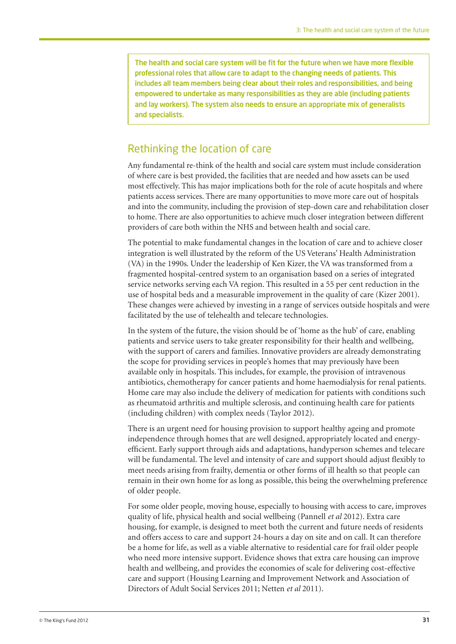The health and social care system will be fit for the future when we have more flexible professional roles that allow care to adapt to the changing needs of patients. This includes all team members being clear about their roles and responsibilities, and being empowered to undertake as many responsibilities as they are able (including patients and lay workers). The system also needs to ensure an appropriate mix of generalists and specialists.

### Rethinking the location of care

Any fundamental re-think of the health and social care system must include consideration of where care is best provided, the facilities that are needed and how assets can be used most effectively. This has major implications both for the role of acute hospitals and where patients access services. There are many opportunities to move more care out of hospitals and into the community, including the provision of step-down care and rehabilitation closer to home. There are also opportunities to achieve much closer integration between different providers of care both within the NHS and between health and social care.

The potential to make fundamental changes in the location of care and to achieve closer integration is well illustrated by the reform of the US Veterans' Health Administration (VA) in the 1990s. Under the leadership of Ken Kizer, the VA was transformed from a fragmented hospital-centred system to an organisation based on a series of integrated service networks serving each VA region. This resulted in a 55 per cent reduction in the use of hospital beds and a measurable improvement in the quality of care (Kizer 2001). These changes were achieved by investing in a range of services outside hospitals and were facilitated by the use of telehealth and telecare technologies.

In the system of the future, the vision should be of 'home as the hub' of care, enabling patients and service users to take greater responsibility for their health and wellbeing, with the support of carers and families. Innovative providers are already demonstrating the scope for providing services in people's homes that may previously have been available only in hospitals. This includes, for example, the provision of intravenous antibiotics, chemotherapy for cancer patients and home haemodialysis for renal patients. Home care may also include the delivery of medication for patients with conditions such as rheumatoid arthritis and multiple sclerosis, and continuing health care for patients (including children) with complex needs (Taylor 2012).

There is an urgent need for housing provision to support healthy ageing and promote independence through homes that are well designed, appropriately located and energyefficient. Early support through aids and adaptations, handyperson schemes and telecare will be fundamental. The level and intensity of care and support should adjust flexibly to meet needs arising from frailty, dementia or other forms of ill health so that people can remain in their own home for as long as possible, this being the overwhelming preference of older people.

For some older people, moving house, especially to housing with access to care, improves quality of life, physical health and social wellbeing (Pannell *et al* 2012). Extra care housing, for example, is designed to meet both the current and future needs of residents and offers access to care and support 24-hours a day on site and on call. It can therefore be a home for life, as well as a viable alternative to residential care for frail older people who need more intensive support. Evidence shows that extra care housing can improve health and wellbeing, and provides the economies of scale for delivering cost-effective care and support (Housing Learning and Improvement Network and Association of Directors of Adult Social Services 2011; Netten *et al* 2011).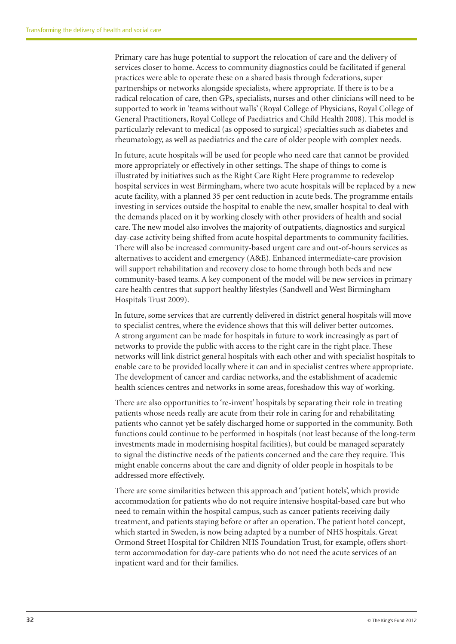Primary care has huge potential to support the relocation of care and the delivery of services closer to home. Access to community diagnostics could be facilitated if general practices were able to operate these on a shared basis through federations, super partnerships or networks alongside specialists, where appropriate. If there is to be a radical relocation of care, then GPs, specialists, nurses and other clinicians will need to be supported to work in 'teams without walls' (Royal College of Physicians, Royal College of General Practitioners, Royal College of Paediatrics and Child Health 2008). This model is particularly relevant to medical (as opposed to surgical) specialties such as diabetes and rheumatology, as well as paediatrics and the care of older people with complex needs.

In future, acute hospitals will be used for people who need care that cannot be provided more appropriately or effectively in other settings. The shape of things to come is illustrated by initiatives such as the Right Care Right Here programme to redevelop hospital services in west Birmingham, where two acute hospitals will be replaced by a new acute facility, with a planned 35 per cent reduction in acute beds. The programme entails investing in services outside the hospital to enable the new, smaller hospital to deal with the demands placed on it by working closely with other providers of health and social care. The new model also involves the majority of outpatients, diagnostics and surgical day-case activity being shifted from acute hospital departments to community facilities. There will also be increased community-based urgent care and out-of-hours services as alternatives to accident and emergency (A&E). Enhanced intermediate-care provision will support rehabilitation and recovery close to home through both beds and new community-based teams. A key component of the model will be new services in primary care health centres that support healthy lifestyles (Sandwell and West Birmingham Hospitals Trust 2009).

In future, some services that are currently delivered in district general hospitals will move to specialist centres, where the evidence shows that this will deliver better outcomes. A strong argument can be made for hospitals in future to work increasingly as part of networks to provide the public with access to the right care in the right place. These networks will link district general hospitals with each other and with specialist hospitals to enable care to be provided locally where it can and in specialist centres where appropriate. The development of cancer and cardiac networks, and the establishment of academic health sciences centres and networks in some areas, foreshadow this way of working.

There are also opportunities to 're-invent' hospitals by separating their role in treating patients whose needs really are acute from their role in caring for and rehabilitating patients who cannot yet be safely discharged home or supported in the community. Both functions could continue to be performed in hospitals (not least because of the long-term investments made in modernising hospital facilities), but could be managed separately to signal the distinctive needs of the patients concerned and the care they require. This might enable concerns about the care and dignity of older people in hospitals to be addressed more effectively.

There are some similarities between this approach and 'patient hotels', which provide accommodation for patients who do not require intensive hospital-based care but who need to remain within the hospital campus, such as cancer patients receiving daily treatment, and patients staying before or after an operation. The patient hotel concept, which started in Sweden, is now being adapted by a number of NHS hospitals. Great Ormond Street Hospital for Children NHS Foundation Trust, for example, offers shortterm accommodation for day-care patients who do not need the acute services of an inpatient ward and for their families.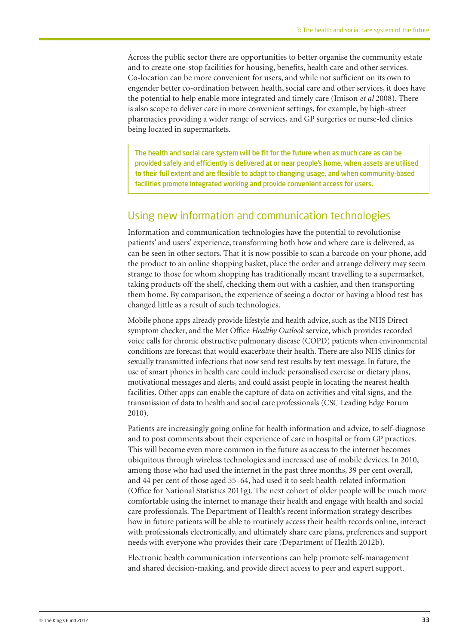Across the public sector there are opportunities to better organise the community estate and to create one-stop facilities for housing, benefits, health care and other services. Co-location can be more convenient for users, and while not sufficient on its own to engender better co-ordination between health, social care and other services, it does have the potential to help enable more integrated and timely care (Imison *et al* 2008). There is also scope to deliver care in more convenient settings, for example, by high-street pharmacies providing a wider range of services, and GP surgeries or nurse-led clinics being located in supermarkets.

The health and social care system will be fit for the future when as much care as can be provided safely and efficiently is delivered at or near people's home, when assets are utilised to their full extent and are flexible to adapt to changing usage, and when community-based facilities promote integrated working and provide convenient access for users.

#### Using new information and communication technologies

Information and communication technologies have the potential to revolutionise patients' and users' experience, transforming both how and where care is delivered, as can be seen in other sectors. That it is now possible to scan a barcode on your phone, add the product to an online shopping basket, place the order and arrange delivery may seem strange to those for whom shopping has traditionally meant travelling to a supermarket, taking products off the shelf, checking them out with a cashier, and then transporting them home. By comparison, the experience of seeing a doctor or having a blood test has changed little as a result of such technologies.

Mobile phone apps already provide lifestyle and health advice, such as the NHS Direct symptom checker, and the Met Office *Healthy Outlook* service, which provides recorded voice calls for chronic obstructive pulmonary disease (COPD) patients when environmental conditions are forecast that would exacerbate their health. There are also NHS clinics for sexually transmitted infections that now send test results by text message. In future, the use of smart phones in health care could include personalised exercise or dietary plans, motivational messages and alerts, and could assist people in locating the nearest health facilities. Other apps can enable the capture of data on activities and vital signs, and the transmission of data to health and social care professionals (CSC Leading Edge Forum 2010).

Patients are increasingly going online for health information and advice, to self-diagnose and to post comments about their experience of care in hospital or from GP practices. This will become even more common in the future as access to the internet becomes ubiquitous through wireless technologies and increased use of mobile devices. In 2010, among those who had used the internet in the past three months, 39 per cent overall, and 44 per cent of those aged 55–64, had used it to seek health-related information (Office for National Statistics 2011g). The next cohort of older people will be much more comfortable using the internet to manage their health and engage with health and social care professionals. The Department of Health's recent information strategy describes how in future patients will be able to routinely access their health records online, interact with professionals electronically, and ultimately share care plans, preferences and support needs with everyone who provides their care (Department of Health 2012b).

Electronic health communication interventions can help promote self-management and shared decision-making, and provide direct access to peer and expert support.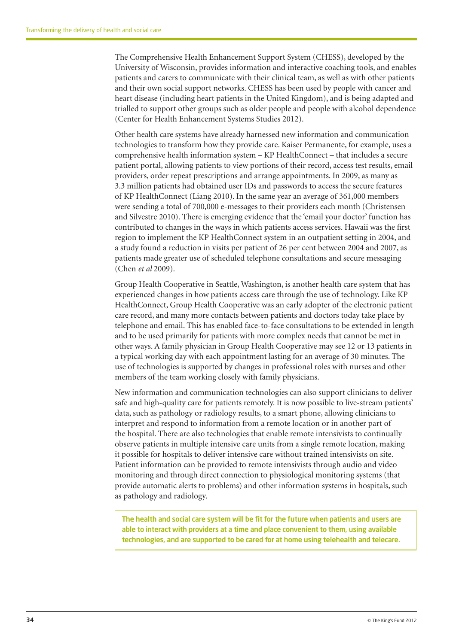The Comprehensive Health Enhancement Support System (CHESS), developed by the University of Wisconsin, provides information and interactive coaching tools, and enables patients and carers to communicate with their clinical team, as well as with other patients and their own social support networks. CHESS has been used by people with cancer and heart disease (including heart patients in the United Kingdom), and is being adapted and trialled to support other groups such as older people and people with alcohol dependence (Center for Health Enhancement Systems Studies 2012).

Other health care systems have already harnessed new information and communication technologies to transform how they provide care. Kaiser Permanente, for example, uses a comprehensive health information system – KP HealthConnect – that includes a secure patient portal, allowing patients to view portions of their record, access test results, email providers, order repeat prescriptions and arrange appointments. In 2009, as many as 3.3 million patients had obtained user IDs and passwords to access the secure features of KP HealthConnect (Liang 2010). In the same year an average of 361,000 members were sending a total of 700,000 e-messages to their providers each month (Christensen and Silvestre 2010). There is emerging evidence that the 'email your doctor' function has contributed to changes in the ways in which patients access services. Hawaii was the first region to implement the KP HealthConnect system in an outpatient setting in 2004, and a study found a reduction in visits per patient of 26 per cent between 2004 and 2007, as patients made greater use of scheduled telephone consultations and secure messaging (Chen *et al* 2009).

Group Health Cooperative in Seattle, Washington, is another health care system that has experienced changes in how patients access care through the use of technology. Like KP HealthConnect, Group Health Cooperative was an early adopter of the electronic patient care record, and many more contacts between patients and doctors today take place by telephone and email. This has enabled face-to-face consultations to be extended in length and to be used primarily for patients with more complex needs that cannot be met in other ways. A family physician in Group Health Cooperative may see 12 or 13 patients in a typical working day with each appointment lasting for an average of 30 minutes. The use of technologies is supported by changes in professional roles with nurses and other members of the team working closely with family physicians.

New information and communication technologies can also support clinicians to deliver safe and high-quality care for patients remotely. It is now possible to live-stream patients' data, such as pathology or radiology results, to a smart phone, allowing clinicians to interpret and respond to information from a remote location or in another part of the hospital. There are also technologies that enable remote intensivists to continually observe patients in multiple intensive care units from a single remote location, making it possible for hospitals to deliver intensive care without trained intensivists on site. Patient information can be provided to remote intensivists through audio and video monitoring and through direct connection to physiological monitoring systems (that provide automatic alerts to problems) and other information systems in hospitals, such as pathology and radiology.

The health and social care system will be fit for the future when patients and users are able to interact with providers at a time and place convenient to them, using available technologies, and are supported to be cared for at home using telehealth and telecare.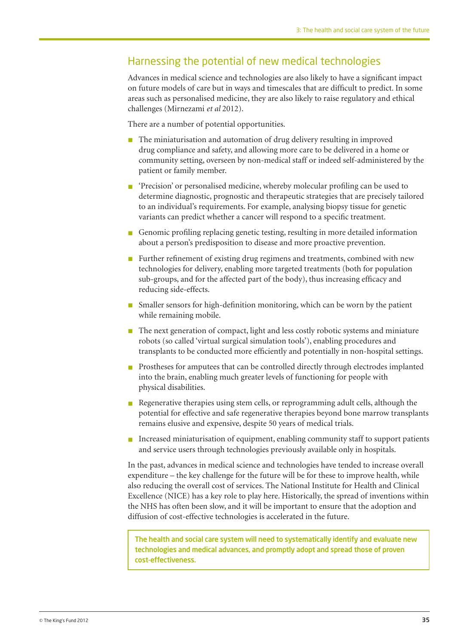## Harnessing the potential of new medical technologies

Advances in medical science and technologies are also likely to have a significant impact on future models of care but in ways and timescales that are difficult to predict. In some areas such as personalised medicine, they are also likely to raise regulatory and ethical challenges (Mirnezami *et al* 2012).

There are a number of potential opportunities.

- The miniaturisation and automation of drug delivery resulting in improved drug compliance and safety, and allowing more care to be delivered in a home or community setting, overseen by non-medical staff or indeed self-administered by the patient or family member.
- n 'Precision' or personalised medicine, whereby molecular profiling can be used to determine diagnostic, prognostic and therapeutic strategies that are precisely tailored to an individual's requirements. For example, analysing biopsy tissue for genetic variants can predict whether a cancer will respond to a specific treatment.
- n Genomic profiling replacing genetic testing, resulting in more detailed information about a person's predisposition to disease and more proactive prevention.
- Further refinement of existing drug regimens and treatments, combined with new technologies for delivery, enabling more targeted treatments (both for population sub-groups, and for the affected part of the body), thus increasing efficacy and reducing side-effects.
- n Smaller sensors for high-definition monitoring, which can be worn by the patient while remaining mobile.
- $\blacksquare$  The next generation of compact, light and less costly robotic systems and miniature robots (so called 'virtual surgical simulation tools'), enabling procedures and transplants to be conducted more efficiently and potentially in non-hospital settings.
- n Prostheses for amputees that can be controlled directly through electrodes implanted into the brain, enabling much greater levels of functioning for people with physical disabilities.
- n Regenerative therapies using stem cells, or reprogramming adult cells, although the potential for effective and safe regenerative therapies beyond bone marrow transplants remains elusive and expensive, despite 50 years of medical trials.
- $\blacksquare$  Increased miniaturisation of equipment, enabling community staff to support patients and service users through technologies previously available only in hospitals.

In the past, advances in medical science and technologies have tended to increase overall expenditure – the key challenge for the future will be for these to improve health, while also reducing the overall cost of services. The National Institute for Health and Clinical Excellence (NICE) has a key role to play here. Historically, the spread of inventions within the NHS has often been slow, and it will be important to ensure that the adoption and diffusion of cost-effective technologies is accelerated in the future.

The health and social care system will need to systematically identify and evaluate new technologies and medical advances, and promptly adopt and spread those of proven cost-effectiveness.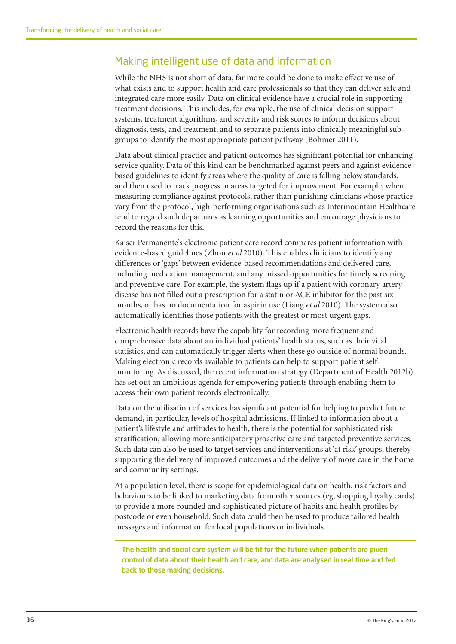## Making intelligent use of data and information

While the NHS is not short of data, far more could be done to make effective use of what exists and to support health and care professionals so that they can deliver safe and integrated care more easily. Data on clinical evidence have a crucial role in supporting treatment decisions. This includes, for example, the use of clinical decision support systems, treatment algorithms, and severity and risk scores to inform decisions about diagnosis, tests, and treatment, and to separate patients into clinically meaningful subgroups to identify the most appropriate patient pathway (Bohmer 2011).

Data about clinical practice and patient outcomes has significant potential for enhancing service quality. Data of this kind can be benchmarked against peers and against evidencebased guidelines to identify areas where the quality of care is falling below standards, and then used to track progress in areas targeted for improvement. For example, when measuring compliance against protocols, rather than punishing clinicians whose practice vary from the protocol, high-performing organisations such as Intermountain Healthcare tend to regard such departures as learning opportunities and encourage physicians to record the reasons for this.

Kaiser Permanente's electronic patient care record compares patient information with evidence-based guidelines (Zhou *et al* 2010). This enables clinicians to identify any differences or 'gaps' between evidence-based recommendations and delivered care, including medication management, and any missed opportunities for timely screening and preventive care. For example, the system flags up if a patient with coronary artery disease has not filled out a prescription for a statin or ACE inhibitor for the past six months, or has no documentation for aspirin use (Liang *et al* 2010). The system also automatically identifies those patients with the greatest or most urgent gaps.

Electronic health records have the capability for recording more frequent and comprehensive data about an individual patients' health status, such as their vital statistics, and can automatically trigger alerts when these go outside of normal bounds. Making electronic records available to patients can help to support patient selfmonitoring. As discussed, the recent information strategy (Department of Health 2012b) has set out an ambitious agenda for empowering patients through enabling them to access their own patient records electronically.

Data on the utilisation of services has significant potential for helping to predict future demand, in particular, levels of hospital admissions. If linked to information about a patient's lifestyle and attitudes to health, there is the potential for sophisticated risk stratification, allowing more anticipatory proactive care and targeted preventive services. Such data can also be used to target services and interventions at 'at risk' groups, thereby supporting the delivery of improved outcomes and the delivery of more care in the home and community settings.

At a population level, there is scope for epidemiological data on health, risk factors and behaviours to be linked to marketing data from other sources (eg, shopping loyalty cards) to provide a more rounded and sophisticated picture of habits and health profiles by postcode or even household. Such data could then be used to produce tailored health messages and information for local populations or individuals.

The health and social care system will be fit for the future when patients are given control of data about their health and care, and data are analysed in real time and fed back to those making decisions.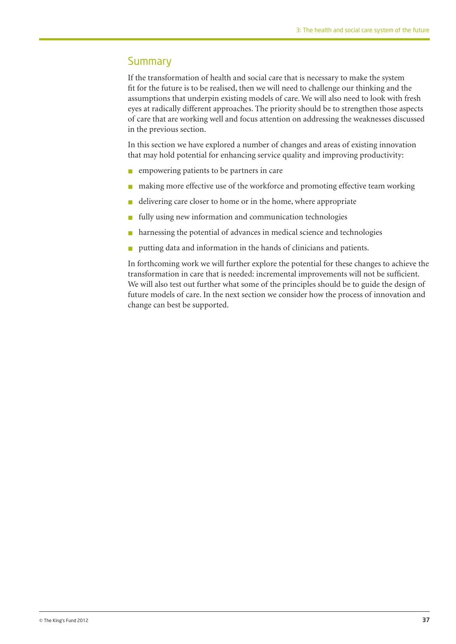#### **Summary**

If the transformation of health and social care that is necessary to make the system fit for the future is to be realised, then we will need to challenge our thinking and the assumptions that underpin existing models of care. We will also need to look with fresh eyes at radically different approaches. The priority should be to strengthen those aspects of care that are working well and focus attention on addressing the weaknesses discussed in the previous section.

In this section we have explored a number of changes and areas of existing innovation that may hold potential for enhancing service quality and improving productivity:

- n empowering patients to be partners in care
- making more effective use of the workforce and promoting effective team working
- delivering care closer to home or in the home, where appropriate
- $\blacksquare$  fully using new information and communication technologies
- $\blacksquare$  harnessing the potential of advances in medical science and technologies
- $\blacksquare$  putting data and information in the hands of clinicians and patients.

In forthcoming work we will further explore the potential for these changes to achieve the transformation in care that is needed: incremental improvements will not be sufficient. We will also test out further what some of the principles should be to guide the design of future models of care. In the next section we consider how the process of innovation and change can best be supported.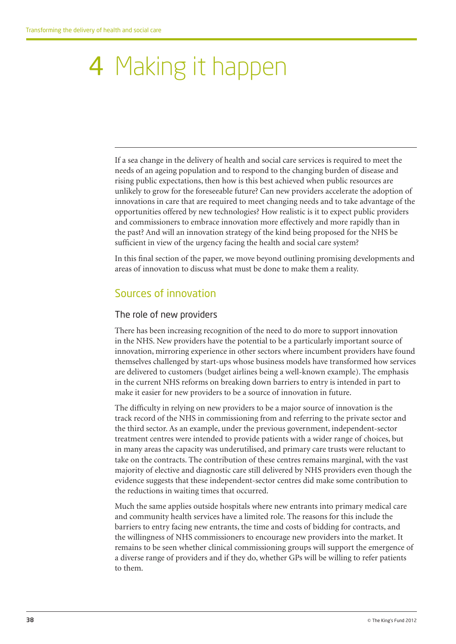# 4 Making it happen

If a sea change in the delivery of health and social care services is required to meet the needs of an ageing population and to respond to the changing burden of disease and rising public expectations, then how is this best achieved when public resources are unlikely to grow for the foreseeable future? Can new providers accelerate the adoption of innovations in care that are required to meet changing needs and to take advantage of the opportunities offered by new technologies? How realistic is it to expect public providers and commissioners to embrace innovation more effectively and more rapidly than in the past? And will an innovation strategy of the kind being proposed for the NHS be sufficient in view of the urgency facing the health and social care system?

In this final section of the paper, we move beyond outlining promising developments and areas of innovation to discuss what must be done to make them a reality.

## Sources of innovation

#### The role of new providers

There has been increasing recognition of the need to do more to support innovation in the NHS. New providers have the potential to be a particularly important source of innovation, mirroring experience in other sectors where incumbent providers have found themselves challenged by start-ups whose business models have transformed how services are delivered to customers (budget airlines being a well-known example). The emphasis in the current NHS reforms on breaking down barriers to entry is intended in part to make it easier for new providers to be a source of innovation in future.

The difficulty in relying on new providers to be a major source of innovation is the track record of the NHS in commissioning from and referring to the private sector and the third sector. As an example, under the previous government, independent-sector treatment centres were intended to provide patients with a wider range of choices, but in many areas the capacity was underutilised, and primary care trusts were reluctant to take on the contracts. The contribution of these centres remains marginal, with the vast majority of elective and diagnostic care still delivered by NHS providers even though the evidence suggests that these independent-sector centres did make some contribution to the reductions in waiting times that occurred.

Much the same applies outside hospitals where new entrants into primary medical care and community health services have a limited role. The reasons for this include the barriers to entry facing new entrants, the time and costs of bidding for contracts, and the willingness of NHS commissioners to encourage new providers into the market. It remains to be seen whether clinical commissioning groups will support the emergence of a diverse range of providers and if they do, whether GPs will be willing to refer patients to them.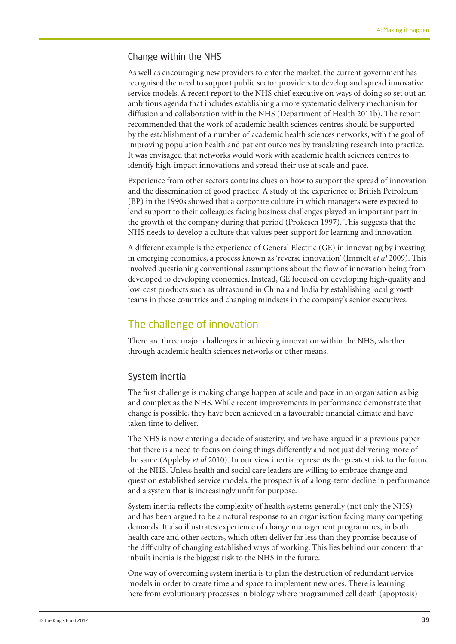#### Change within the NHS

As well as encouraging new providers to enter the market, the current government has recognised the need to support public sector providers to develop and spread innovative service models. A recent report to the NHS chief executive on ways of doing so set out an ambitious agenda that includes establishing a more systematic delivery mechanism for diffusion and collaboration within the NHS (Department of Health 2011b). The report recommended that the work of academic health sciences centres should be supported by the establishment of a number of academic health sciences networks, with the goal of improving population health and patient outcomes by translating research into practice. It was envisaged that networks would work with academic health sciences centres to identify high-impact innovations and spread their use at scale and pace.

Experience from other sectors contains clues on how to support the spread of innovation and the dissemination of good practice. A study of the experience of British Petroleum (BP) in the 1990s showed that a corporate culture in which managers were expected to lend support to their colleagues facing business challenges played an important part in the growth of the company during that period (Prokesch 1997). This suggests that the NHS needs to develop a culture that values peer support for learning and innovation.

A different example is the experience of General Electric (GE) in innovating by investing in emerging economies, a process known as 'reverse innovation' (Immelt *et al* 2009). This involved questioning conventional assumptions about the flow of innovation being from developed to developing economies. Instead, GE focused on developing high-quality and low-cost products such as ultrasound in China and India by establishing local growth teams in these countries and changing mindsets in the company's senior executives.

#### The challenge of innovation

There are three major challenges in achieving innovation within the NHS, whether through academic health sciences networks or other means.

#### System inertia

The first challenge is making change happen at scale and pace in an organisation as big and complex as the NHS. While recent improvements in performance demonstrate that change is possible, they have been achieved in a favourable financial climate and have taken time to deliver.

The NHS is now entering a decade of austerity, and we have argued in a previous paper that there is a need to focus on doing things differently and not just delivering more of the same (Appleby *et al* 2010). In our view inertia represents the greatest risk to the future of the NHS. Unless health and social care leaders are willing to embrace change and question established service models, the prospect is of a long-term decline in performance and a system that is increasingly unfit for purpose.

System inertia reflects the complexity of health systems generally (not only the NHS) and has been argued to be a natural response to an organisation facing many competing demands. It also illustrates experience of change management programmes, in both health care and other sectors, which often deliver far less than they promise because of the difficulty of changing established ways of working. This lies behind our concern that inbuilt inertia is the biggest risk to the NHS in the future.

One way of overcoming system inertia is to plan the destruction of redundant service models in order to create time and space to implement new ones. There is learning here from evolutionary processes in biology where programmed cell death (apoptosis)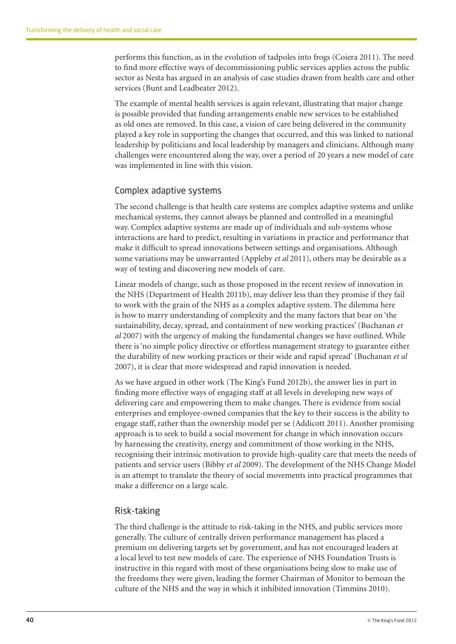performs this function, as in the evolution of tadpoles into frogs (Coiera 2011). The need to find more effective ways of decommissioning public services applies across the public sector as Nesta has argued in an analysis of case studies drawn from health care and other services (Bunt and Leadbeater 2012).

The example of mental health services is again relevant, illustrating that major change is possible provided that funding arrangements enable new services to be established as old ones are removed. In this case, a vision of care being delivered in the community played a key role in supporting the changes that occurred, and this was linked to national leadership by politicians and local leadership by managers and clinicians. Although many challenges were encountered along the way, over a period of 20 years a new model of care was implemented in line with this vision.

#### Complex adaptive systems

The second challenge is that health care systems are complex adaptive systems and unlike mechanical systems, they cannot always be planned and controlled in a meaningful way. Complex adaptive systems are made up of individuals and sub-systems whose interactions are hard to predict, resulting in variations in practice and performance that make it difficult to spread innovations between settings and organisations. Although some variations may be unwarranted (Appleby *et al* 2011), others may be desirable as a way of testing and discovering new models of care.

Linear models of change, such as those proposed in the recent review of innovation in the NHS (Department of Health 2011b), may deliver less than they promise if they fail to work with the grain of the NHS as a complex adaptive system. The dilemma here is how to marry understanding of complexity and the many factors that bear on 'the sustainability, decay, spread, and containment of new working practices' (Buchanan *et al* 2007) with the urgency of making the fundamental changes we have outlined. While there is 'no simple policy directive or effortless management strategy to guarantee either the durability of new working practices or their wide and rapid spread' (Buchanan *et al* 2007), it is clear that more widespread and rapid innovation is needed.

As we have argued in other work (The King's Fund 2012b), the answer lies in part in finding more effective ways of engaging staff at all levels in developing new ways of delivering care and empowering them to make changes. There is evidence from social enterprises and employee-owned companies that the key to their success is the ability to engage staff, rather than the ownership model per se (Addicott 2011). Another promising approach is to seek to build a social movement for change in which innovation occurs by harnessing the creativity, energy and commitment of those working in the NHS, recognising their intrinsic motivation to provide high-quality care that meets the needs of patients and service users (Bibby *et al* 2009). The development of the NHS Change Model is an attempt to translate the theory of social movements into practical programmes that make a difference on a large scale.

#### Risk-taking

The third challenge is the attitude to risk-taking in the NHS, and public services more generally. The culture of centrally driven performance management has placed a premium on delivering targets set by government, and has not encouraged leaders at a local level to test new models of care. The experience of NHS Foundation Trusts is instructive in this regard with most of these organisations being slow to make use of the freedoms they were given, leading the former Chairman of Monitor to bemoan the culture of the NHS and the way in which it inhibited innovation (Timmins 2010).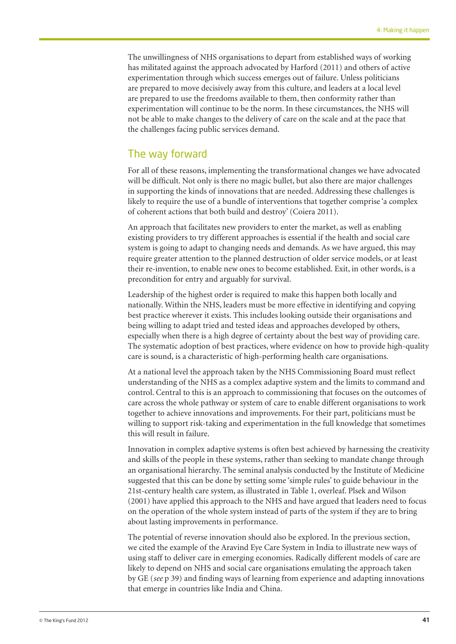The unwillingness of NHS organisations to depart from established ways of working has militated against the approach advocated by Harford (2011) and others of active experimentation through which success emerges out of failure. Unless politicians are prepared to move decisively away from this culture, and leaders at a local level are prepared to use the freedoms available to them, then conformity rather than experimentation will continue to be the norm. In these circumstances, the NHS will not be able to make changes to the delivery of care on the scale and at the pace that the challenges facing public services demand.

### The way forward

For all of these reasons, implementing the transformational changes we have advocated will be difficult. Not only is there no magic bullet, but also there are major challenges in supporting the kinds of innovations that are needed. Addressing these challenges is likely to require the use of a bundle of interventions that together comprise 'a complex of coherent actions that both build and destroy' (Coiera 2011).

An approach that facilitates new providers to enter the market, as well as enabling existing providers to try different approaches is essential if the health and social care system is going to adapt to changing needs and demands. As we have argued, this may require greater attention to the planned destruction of older service models, or at least their re-invention, to enable new ones to become established. Exit, in other words, is a precondition for entry and arguably for survival.

Leadership of the highest order is required to make this happen both locally and nationally. Within the NHS, leaders must be more effective in identifying and copying best practice wherever it exists. This includes looking outside their organisations and being willing to adapt tried and tested ideas and approaches developed by others, especially when there is a high degree of certainty about the best way of providing care. The systematic adoption of best practices, where evidence on how to provide high-quality care is sound, is a characteristic of high-performing health care organisations.

At a national level the approach taken by the NHS Commissioning Board must reflect understanding of the NHS as a complex adaptive system and the limits to command and control. Central to this is an approach to commissioning that focuses on the outcomes of care across the whole pathway or system of care to enable different organisations to work together to achieve innovations and improvements. For their part, politicians must be willing to support risk-taking and experimentation in the full knowledge that sometimes this will result in failure.

Innovation in complex adaptive systems is often best achieved by harnessing the creativity and skills of the people in these systems, rather than seeking to mandate change through an organisational hierarchy. The seminal analysis conducted by the Institute of Medicine suggested that this can be done by setting some 'simple rules' to guide behaviour in the 21st-century health care system, as illustrated in Table 1, overleaf. Plsek and Wilson (2001) have applied this approach to the NHS and have argued that leaders need to focus on the operation of the whole system instead of parts of the system if they are to bring about lasting improvements in performance.

The potential of reverse innovation should also be explored. In the previous section, we cited the example of the Aravind Eye Care System in India to illustrate new ways of using staff to deliver care in emerging economies. Radically different models of care are likely to depend on NHS and social care organisations emulating the approach taken by GE (*see* p 39) and finding ways of learning from experience and adapting innovations that emerge in countries like India and China.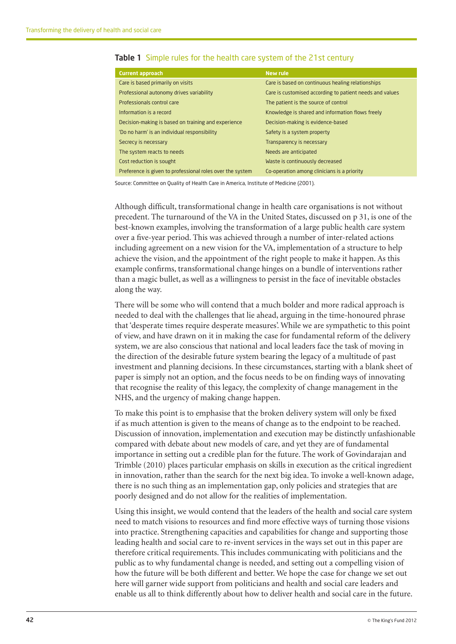| <b>Current approach</b>                                   | <b>New rule</b>                                          |
|-----------------------------------------------------------|----------------------------------------------------------|
| Care is based primarily on visits                         | Care is based on continuous healing relationships        |
| Professional autonomy drives variability                  | Care is customised according to patient needs and values |
| Professionals control care                                | The patient is the source of control                     |
| Information is a record                                   | Knowledge is shared and information flows freely         |
| Decision-making is based on training and experience       | Decision-making is evidence-based                        |
| 'Do no harm' is an individual responsibility              | Safety is a system property                              |
| Secrecy is necessary                                      | Transparency is necessary                                |
| The system reacts to needs                                | Needs are anticipated                                    |
| Cost reduction is sought                                  | Waste is continuously decreased                          |
| Preference is given to professional roles over the system | Co-operation among clinicians is a priority              |
|                                                           |                                                          |

#### Table 1 Simple rules for the health care system of the 21st century

Source: Committee on Quality of Health Care in America, Institute of Medicine (2001).

Although difficult, transformational change in health care organisations is not without precedent. The turnaround of the VA in the United States, discussed on p 31, is one of the best-known examples, involving the transformation of a large public health care system over a five-year period. This was achieved through a number of inter-related actions including agreement on a new vision for the VA, implementation of a structure to help achieve the vision, and the appointment of the right people to make it happen. As this example confirms, transformational change hinges on a bundle of interventions rather than a magic bullet, as well as a willingness to persist in the face of inevitable obstacles along the way.

There will be some who will contend that a much bolder and more radical approach is needed to deal with the challenges that lie ahead, arguing in the time-honoured phrase that 'desperate times require desperate measures'. While we are sympathetic to this point of view, and have drawn on it in making the case for fundamental reform of the delivery system, we are also conscious that national and local leaders face the task of moving in the direction of the desirable future system bearing the legacy of a multitude of past investment and planning decisions. In these circumstances, starting with a blank sheet of paper is simply not an option, and the focus needs to be on finding ways of innovating that recognise the reality of this legacy, the complexity of change management in the NHS, and the urgency of making change happen.

To make this point is to emphasise that the broken delivery system will only be fixed if as much attention is given to the means of change as to the endpoint to be reached. Discussion of innovation, implementation and execution may be distinctly unfashionable compared with debate about new models of care, and yet they are of fundamental importance in setting out a credible plan for the future. The work of Govindarajan and Trimble (2010) places particular emphasis on skills in execution as the critical ingredient in innovation, rather than the search for the next big idea. To invoke a well-known adage, there is no such thing as an implementation gap, only policies and strategies that are poorly designed and do not allow for the realities of implementation.

Using this insight, we would contend that the leaders of the health and social care system need to match visions to resources and find more effective ways of turning those visions into practice. Strengthening capacities and capabilities for change and supporting those leading health and social care to re-invent services in the ways set out in this paper are therefore critical requirements. This includes communicating with politicians and the public as to why fundamental change is needed, and setting out a compelling vision of how the future will be both different and better. We hope the case for change we set out here will garner wide support from politicians and health and social care leaders and enable us all to think differently about how to deliver health and social care in the future.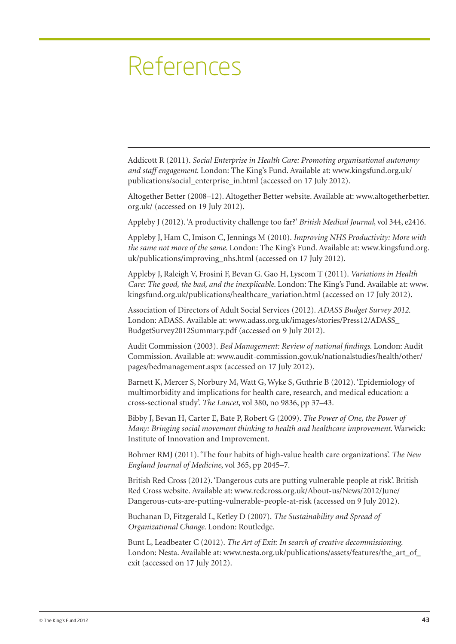# References

Addicott R (2011). *Social Enterprise in Health Care: Promoting organisational autonomy and staff engagement*. London: The King's Fund. Available at: www.kingsfund.org.uk/ publications/social\_enterprise\_in.html (accessed on 17 July 2012).

Altogether Better (2008–12). Altogether Better website. Available at: www.altogetherbetter. org.uk/ (accessed on 19 July 2012).

Appleby J (2012). 'A productivity challenge too far?' *British Medical Journal*, vol 344, e2416.

Appleby J, Ham C, Imison C, Jennings M (2010). *Improving NHS Productivity: More with the same not more of the same*. London: The King's Fund. Available at: www.kingsfund.org. uk/publications/improving\_nhs.html (accessed on 17 July 2012).

Appleby J, Raleigh V, Frosini F, Bevan G. Gao H, Lyscom T (2011). *Variations in Health Care: The good, the bad, and the inexplicable*. London: The King's Fund. Available at: www. kingsfund.org.uk/publications/healthcare\_variation.html (accessed on 17 July 2012).

Association of Directors of Adult Social Services (2012). *ADASS Budget Survey 2012*. London: ADASS. Available at: www.adass.org.uk/images/stories/Press12/ADASS\_ BudgetSurvey2012Summary.pdf (accessed on 9 July 2012).

Audit Commission (2003). *Bed Management: Review of national findings*. London: Audit Commission. Available at: www.audit-commission.gov.uk/nationalstudies/health/other/ pages/bedmanagement.aspx (accessed on 17 July 2012).

Barnett K, Mercer S, Norbury M, Watt G, Wyke S, Guthrie B (2012). 'Epidemiology of multimorbidity and implications for health care, research, and medical education: a cross-sectional study'. *The Lancet*, vol 380, no 9836, pp 37–43.

Bibby J, Bevan H, Carter E, Bate P, Robert G (2009). *The Power of One, the Power of Many: Bringing social movement thinking to health and healthcare improvement*. Warwick: Institute of Innovation and Improvement.

Bohmer RMJ (2011). 'The four habits of high-value health care organizations'. *The New England Journal of Medicine*, vol 365, pp 2045–7.

British Red Cross (2012). 'Dangerous cuts are putting vulnerable people at risk'. British Red Cross website. Available at: www.redcross.org.uk/About-us/News/2012/June/ Dangerous-cuts-are-putting-vulnerable-people-at-risk (accessed on 9 July 2012).

Buchanan D, Fitzgerald L, Ketley D (2007). *The Sustainability and Spread of Organizational Change*. London: Routledge.

Bunt L, Leadbeater C (2012). *The Art of Exit: In search of creative decommissioning*. London: Nesta. Available at: www.nesta.org.uk/publications/assets/features/the\_art\_of exit (accessed on 17 July 2012).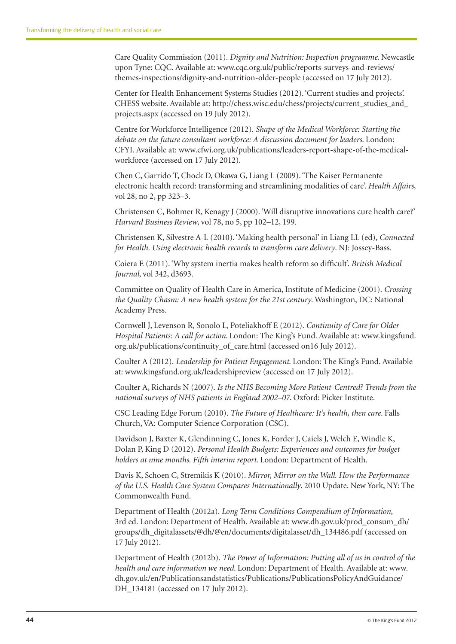Care Quality Commission (2011). *Dignity and Nutrition: Inspection programme*. Newcastle upon Tyne: CQC. Available at: www.cqc.org.uk/public/reports-surveys-and-reviews/ themes-inspections/dignity-and-nutrition-older-people (accessed on 17 July 2012).

Center for Health Enhancement Systems Studies (2012). 'Current studies and projects'. CHESS website. Available at: http://chess.wisc.edu/chess/projects/current\_studies\_and\_ projects.aspx (accessed on 19 July 2012).

Centre for Workforce Intelligence (2012). *Shape of the Medical Workforce: Starting the debate on the future consultant workforce: A discussion document for leaders*. London: CFYI. Available at: www.cfwi.org.uk/publications/leaders-report-shape-of-the-medicalworkforce (accessed on 17 July 2012).

Chen C, Garrido T, Chock D, Okawa G, Liang L (2009). 'The Kaiser Permanente electronic health record: transforming and streamlining modalities of care'. *Health Affairs*, vol 28, no 2, pp 323–3.

Christensen C, Bohmer R, Kenagy J (2000). 'Will disruptive innovations cure health care?' *Harvard Business Review*, vol 78, no 5, pp 102–12, 199.

Christensen K, Silvestre A-L (2010). 'Making health personal' in Liang LL (ed), *Connected for Health. Using electronic health records to transform care delivery*. NJ: Jossey-Bass.

Coiera E (2011). 'Why system inertia makes health reform so difficult'. *British Medical Journal*, vol 342, d3693.

Committee on Quality of Health Care in America, Institute of Medicine (2001). *Crossing the Quality Chasm: A new health system for the 21st century*. Washington, DC: National Academy Press.

Cornwell J, Levenson R, Sonolo L, Poteliakhoff E (2012). *Continuity of Care for Older Hospital Patients: A call for action*. London: The King's Fund. Available at: www.kingsfund. org.uk/publications/continuity\_of\_care.html (accessed on16 July 2012).

Coulter A (2012). *Leadership for Patient Engagement*. London: The King's Fund. Available at: www.kingsfund.org.uk/leadershipreview (accessed on 17 July 2012).

Coulter A, Richards N (2007). *Is the NHS Becoming More Patient-Centred? Trends from the national surveys of NHS patients in England 2002–07*. Oxford: Picker Institute.

CSC Leading Edge Forum (2010). *The Future of Healthcare: It's health, then care*. Falls Church, VA: Computer Science Corporation (CSC).

Davidson J, Baxter K, Glendinning C, Jones K, Forder J, Caiels J, Welch E, Windle K, Dolan P, King D (2012). *Personal Health Budgets: Experiences and outcomes for budget holders at nine months. Fifth interim report*. London: Department of Health.

Davis K, Schoen C, Stremikis K (2010). *Mirror, Mirror on the Wall. How the Performance of the U.S. Health Care System Compares Internationally*. 2010 Update. New York, NY: The Commonwealth Fund.

Department of Health (2012a). *Long Term Conditions Compendium of Information*, 3rd ed. London: Department of Health. Available at: www.dh.gov.uk/prod\_consum\_dh/ groups/dh\_digitalassets/@dh/@en/documents/digitalasset/dh\_134486.pdf (accessed on 17 July 2012).

Department of Health (2012b). *The Power of Information: Putting all of us in control of the health and care information we need*. London: Department of Health. Available at: www. dh.gov.uk/en/Publicationsandstatistics/Publications/PublicationsPolicyAndGuidance/ DH\_134181 (accessed on 17 July 2012).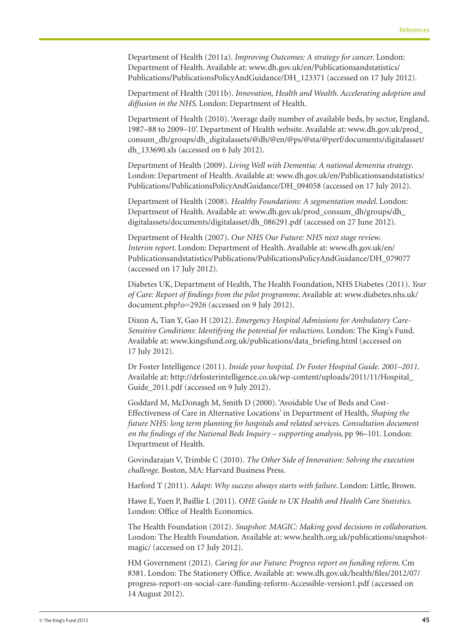Department of Health (2011a). *Improving Outcomes: A strategy for cancer.* London: Department of Health. Available at: www.dh.gov.uk/en/Publicationsandstatistics/ Publications/PublicationsPolicyAndGuidance/DH\_123371 (accessed on 17 July 2012).

Department of Health (2011b). *Innovation, Health and Wealth. Accelerating adoption and diffusion in the NHS*. London: Department of Health.

Department of Health (2010). 'Average daily number of available beds, by sector, England, 1987–88 to 2009–10'. Department of Health website. Available at: www.dh.gov.uk/prod\_ consum\_dh/groups/dh\_digitalassets/@dh/@en/@ps/@sta/@perf/documents/digitalasset/ dh\_133690.xls (accessed on 6 July 2012).

Department of Health (2009). *Living Well with Dementia: A national dementia strategy*. London: Department of Health. Available at: www.dh.gov.uk/en/Publicationsandstatistics/ Publications/PublicationsPolicyAndGuidance/DH\_094058 (accessed on 17 July 2012).

Department of Health (2008). *Healthy Foundations: A segmentation model*. London: Department of Health. Available at: www.dh.gov.uk/prod\_consum\_dh/groups/dh\_ digitalassets/documents/digitalasset/dh\_086291.pdf (accessed on 27 June 2012).

Department of Health (2007). *Our NHS Our Future: NHS next stage review. Interim report*. London: Department of Health. Available at: www.dh.gov.uk/en/ Publicationsandstatistics/Publications/PublicationsPolicyAndGuidance/DH\_079077 (accessed on 17 July 2012).

Diabetes UK, Department of Health, The Health Foundation, NHS Diabetes (2011). *Year of Care: Report of findings from the pilot programme*. Available at: www.diabetes.nhs.uk/ document.php?o=2926 (accessed on 9 July 2012).

Dixon A, Tian Y, Gao H (2012). *Emergency Hospital Admissions for Ambulatory Care-Sensitive Conditions: Identifying the potential for reductions*. London: The King's Fund. Available at: www.kingsfund.org.uk/publications/data\_briefing.html (accessed on 17 July 2012).

Dr Foster Intelligence (2011). *Inside your hospital. Dr Foster Hospital Guide. 2001–2011*. Available at: http://drfosterintelligence.co.uk/wp-content/uploads/2011/11/Hospital\_ Guide\_2011.pdf (accessed on 9 July 2012).

Goddard M, McDonagh M, Smith D (2000). 'Avoidable Use of Beds and Cost-Effectiveness of Care in Alternative Locations' in Department of Health, *Shaping the future NHS: long term planning for hospitals and related services. Consultation document on the findings of the National Beds Inquiry – supporting analysis*, pp 96–101. London: Department of Health.

Govindarajan V, Trimble C (2010). *The Other Side of Innovation: Solving the execution challenge*. Boston, MA: Harvard Business Press.

Harford T (2011). *Adapt: Why success always starts with failure*. London: Little, Brown.

Hawe E, Yuen P, Baillie L (2011). *OHE Guide to UK Health and Health Care Statistics*. London: Office of Health Economics.

The Health Foundation (2012). *Snapshot: MAGIC: Making good decisions in collaboration*. London: The Health Foundation. Available at: www.health.org.uk/publications/snapshotmagic/ (accessed on 17 July 2012).

HM Government (2012). *Caring for our Future: Progress report on funding reform*. Cm 8381. London: The Stationery Office. Available at: www.dh.gov.uk/health/files/2012/07/ progress-report-on-social-care-funding-reform-Accessible-version1.pdf (accessed on 14 August 2012).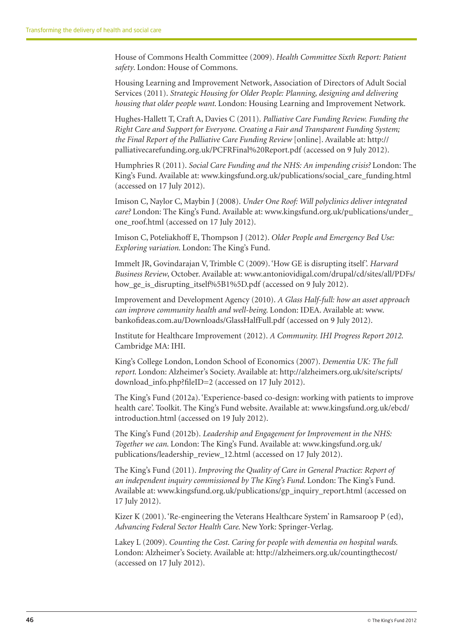House of Commons Health Committee (2009). *Health Committee Sixth Report: Patient safety*. London: House of Commons.

Housing Learning and Improvement Network, Association of Directors of Adult Social Services (2011). *Strategic Housing for Older People: Planning, designing and delivering housing that older people want*. London: Housing Learning and Improvement Network.

Hughes-Hallett T, Craft A, Davies C (2011). *Palliative Care Funding Review. Funding the Right Care and Support for Everyone. Creating a Fair and Transparent Funding System; the Final Report of the Palliative Care Funding Review* [online]. Available at: http:// palliativecarefunding.org.uk/PCFRFinal%20Report.pdf (accessed on 9 July 2012).

Humphries R (2011). *Social Care Funding and the NHS: An impending crisis?* London: The King's Fund. Available at: www.kingsfund.org.uk/publications/social\_care\_funding.html (accessed on 17 July 2012).

Imison C, Naylor C, Maybin J (2008). *Under One Roof: Will polyclinics deliver integrated care?* London: The King's Fund. Available at: www.kingsfund.org.uk/publications/under\_ one\_roof.html (accessed on 17 July 2012).

Imison C, Poteliakhoff E, Thompson J (2012). *Older People and Emergency Bed Use: Exploring variation*. London: The King's Fund.

Immelt JR, Govindarajan V, Trimble C (2009). 'How GE is disrupting itself'. *Harvard Business Review*, October. Available at: www.antoniovidigal.com/drupal/cd/sites/all/PDFs/ how\_ge\_is\_disrupting\_itself%5B1%5D.pdf (accessed on 9 July 2012).

Improvement and Development Agency (2010). *A Glass Half-full: how an asset approach can improve community health and well-being*. London: IDEA. Available at: www. bankofideas.com.au/Downloads/GlassHalfFull.pdf (accessed on 9 July 2012).

Institute for Healthcare Improvement (2012). *A Community. IHI Progress Report 2012*. Cambridge MA: IHI.

King's College London, London School of Economics (2007). *Dementia UK: The full report*. London: Alzheimer's Society. Available at: http://alzheimers.org.uk/site/scripts/ download\_info.php?fileID=2 (accessed on 17 July 2012).

The King's Fund (2012a). 'Experience-based co-design: working with patients to improve health care'. Toolkit. The King's Fund website. Available at: www.kingsfund.org.uk/ebcd/ introduction.html (accessed on 19 July 2012).

The King's Fund (2012b). *Leadership and Engagement for Improvement in the NHS: Together we can*. London: The King's Fund. Available at: www.kingsfund.org.uk/ publications/leadership\_review\_12.html (accessed on 17 July 2012).

The King's Fund (2011). *Improving the Quality of Care in General Practice: Report of an independent inquiry commissioned by The King's Fund*. London: The King's Fund. Available at: www.kingsfund.org.uk/publications/gp\_inquiry\_report.html (accessed on 17 July 2012).

Kizer K (2001). 'Re-engineering the Veterans Healthcare System' in Ramsaroop P (ed), *Advancing Federal Sector Health Care*. New York: Springer-Verlag.

Lakey L (2009). *Counting the Cost. Caring for people with dementia on hospital wards*. London: Alzheimer's Society. Available at: http://alzheimers.org.uk/countingthecost/ (accessed on 17 July 2012).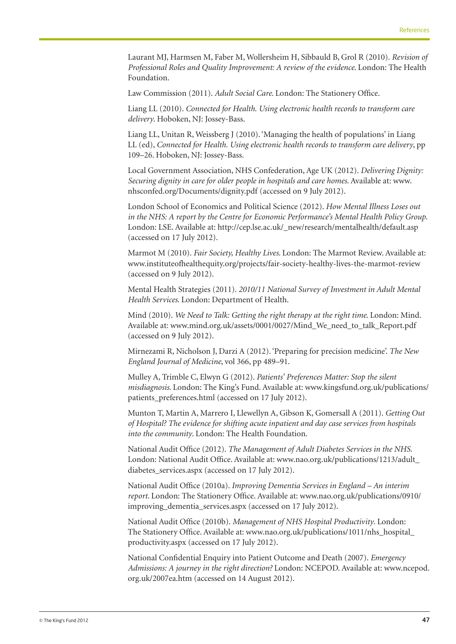Laurant MJ, Harmsen M, Faber M, Wollersheim H, Sibbauld B, Grol R (2010). *Revision of Professional Roles and Quality Improvement: A review of the evidence*. London: The Health Foundation.

Law Commission (2011). *Adult Social Care*. London: The Stationery Office.

Liang LL (2010). *Connected for Health. Using electronic health records to transform care delivery*. Hoboken, NJ: Jossey-Bass.

Liang LL, Unitan R, Weissberg J (2010). 'Managing the health of populations' in Liang LL (ed), *Connected for Health. Using electronic health records to transform care delivery*, pp 109–26. Hoboken, NJ: Jossey-Bass.

Local Government Association, NHS Confederation, Age UK (2012). *Delivering Dignity: Securing dignity in care for older people in hospitals and care homes*. Available at: www. nhsconfed.org/Documents/dignity.pdf (accessed on 9 July 2012).

London School of Economics and Political Science (2012). *How Mental Illness Loses out in the NHS: A report by the Centre for Economic Performance's Mental Health Policy Group*. London: LSE. Available at: http://cep.lse.ac.uk/\_new/research/mentalhealth/default.asp (accessed on 17 July 2012).

Marmot M (2010). *Fair Society, Healthy Lives*. London: The Marmot Review. Available at: www.instituteofhealthequity.org/projects/fair-society-healthy-lives-the-marmot-review (accessed on 9 July 2012).

Mental Health Strategies (2011). *2010/11 National Survey of Investment in Adult Mental Health Services*. London: Department of Health.

Mind (2010). *We Need to Talk: Getting the right therapy at the right time*. London: Mind. Available at: www.mind.org.uk/assets/0001/0027/Mind\_We\_need\_to\_talk\_Report.pdf (accessed on 9 July 2012).

Mirnezami R, Nicholson J, Darzi A (2012). 'Preparing for precision medicine'. *The New England Journal of Medicine*, vol 366, pp 489–91.

Mulley A, Trimble C, Elwyn G (2012). *Patients' Preferences Matter: Stop the silent misdiagnosis*. London: The King's Fund. Available at: www.kingsfund.org.uk/publications/ patients preferences.html (accessed on 17 July 2012).

Munton T, Martin A, Marrero I, Llewellyn A, Gibson K, Gomersall A (2011). *Getting Out of Hospital? The evidence for shifting acute inpatient and day case services from hospitals into the community*. London: The Health Foundation.

National Audit Office (2012). *The Management of Adult Diabetes Services in the NHS*. London: National Audit Office. Available at: www.nao.org.uk/publications/1213/adult\_ diabetes\_services.aspx (accessed on 17 July 2012).

National Audit Office (2010a). *Improving Dementia Services in England – An interim report*. London: The Stationery Office. Available at: www.nao.org.uk/publications/0910/ improving dementia services.aspx (accessed on 17 July 2012).

National Audit Office (2010b). *Management of NHS Hospital Productivity*. London: The Stationery Office. Available at: www.nao.org.uk/publications/1011/nhs\_hospital\_ productivity.aspx (accessed on 17 July 2012).

National Confidential Enquiry into Patient Outcome and Death (2007). *Emergency Admissions: A journey in the right direction?* London: NCEPOD. Available at: www.ncepod. org.uk/2007ea.htm (accessed on 14 August 2012).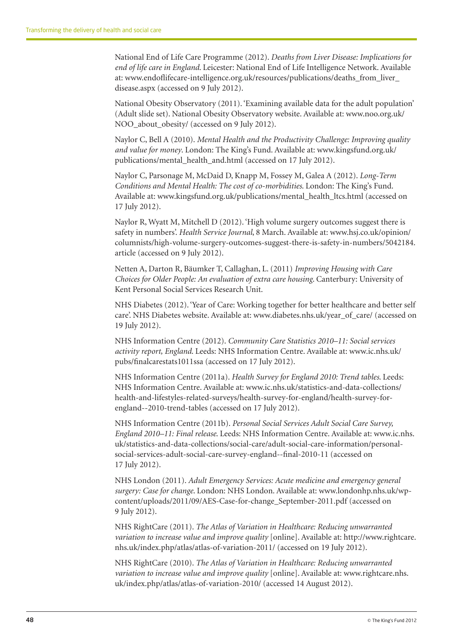National End of Life Care Programme (2012). *Deaths from Liver Disease: Implications for end of life care in England*. Leicester: National End of Life Intelligence Network. Available at: www.endoflifecare-intelligence.org.uk/resources/publications/deaths\_from\_liver\_ disease.aspx (accessed on 9 July 2012).

National Obesity Observatory (2011). 'Examining available data for the adult population' (Adult slide set). National Obesity Observatory website. Available at: www.noo.org.uk/ NOO\_about\_obesity/ (accessed on 9 July 2012).

Naylor C, Bell A (2010). *Mental Health and the Productivity Challenge: Improving quality and value for money*. London: The King's Fund. Available at: www.kingsfund.org.uk/ publications/mental\_health\_and.html (accessed on 17 July 2012).

Naylor C, Parsonage M, McDaid D, Knapp M, Fossey M, Galea A (2012). *Long-Term Conditions and Mental Health: The cost of co-morbidities*. London: The King's Fund. Available at: www.kingsfund.org.uk/publications/mental\_health\_ltcs.html (accessed on 17 July 2012).

Naylor R, Wyatt M, Mitchell D (2012). 'High volume surgery outcomes suggest there is safety in numbers'. *Health Service Journal*, 8 March. Available at: www.hsj.co.uk/opinion/ columnists/high-volume-surgery-outcomes-suggest-there-is-safety-in-numbers/5042184. article (accessed on 9 July 2012).

Netten A, Darton R, Bäumker T, Callaghan, L. (2011) *Improving Housing with Care Choices for Older People: An evaluation of extra care housing*. Canterbury: University of Kent Personal Social Services Research Unit.

NHS Diabetes (2012). 'Year of Care: Working together for better healthcare and better self care'. NHS Diabetes website. Available at: www.diabetes.nhs.uk/year\_of\_care/ (accessed on 19 July 2012).

NHS Information Centre (2012). *Community Care Statistics 2010–11: Social services activity report, England*. Leeds: NHS Information Centre. Available at: www.ic.nhs.uk/ pubs/finalcarestats1011ssa (accessed on 17 July 2012).

NHS Information Centre (2011a). *Health Survey for England 2010: Trend tables*. Leeds: NHS Information Centre. Available at: www.ic.nhs.uk/statistics-and-data-collections/ health-and-lifestyles-related-surveys/health-survey-for-england/health-survey-forengland--2010-trend-tables (accessed on 17 July 2012).

NHS Information Centre (2011b). *Personal Social Services Adult Social Care Survey, England 2010–11: Final release*. Leeds: NHS Information Centre. Available at: www.ic.nhs. uk/statistics-and-data-collections/social-care/adult-social-care-information/personalsocial-services-adult-social-care-survey-england--final-2010-11 (accessed on 17 July 2012).

NHS London (2011). *Adult Emergency Services: Acute medicine and emergency general surgery: Case for change*. London: NHS London. Available at: www.londonhp.nhs.uk/wpcontent/uploads/2011/09/AES-Case-for-change\_September-2011.pdf (accessed on 9 July 2012).

NHS RightCare (2011). *The Atlas of Variation in Healthcare: Reducing unwarranted variation to increase value and improve quality* [online]. Available at: http://www.rightcare. nhs.uk/index.php/atlas/atlas-of-variation-2011/ (accessed on 19 July 2012).

NHS RightCare (2010). *The Atlas of Variation in Healthcare: Reducing unwarranted variation to increase value and improve quality* [online]. Available at: www.rightcare.nhs. uk/index.php/atlas/atlas-of-variation-2010/ (accessed 14 August 2012).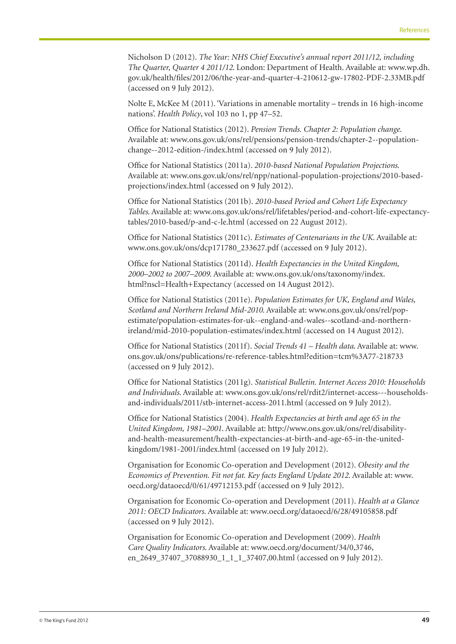Nicholson D (2012). *The Year: NHS Chief Executive's annual report 2011/12, including The Quarter, Quarter 4 2011/12*. London: Department of Health. Available at: www.wp.dh. gov.uk/health/files/2012/06/the-year-and-quarter-4-210612-gw-17802-PDF-2.33MB.pdf (accessed on 9 July 2012).

Nolte E, McKee M (2011). 'Variations in amenable mortality – trends in 16 high-income nations'. *Health Policy*, vol 103 no 1, pp 47–52.

Office for National Statistics (2012). *Pension Trends. Chapter 2: Population change*. Available at: www.ons.gov.uk/ons/rel/pensions/pension-trends/chapter-2--populationchange--2012-edition-/index.html (accessed on 9 July 2012).

Office for National Statistics (2011a). *2010-based National Population Projections*. Available at: www.ons.gov.uk/ons/rel/npp/national-population-projections/2010-basedprojections/index.html (accessed on 9 July 2012).

Office for National Statistics (2011b). *2010-based Period and Cohort Life Expectancy Tables*. Available at: www.ons.gov.uk/ons/rel/lifetables/period-and-cohort-life-expectancytables/2010-based/p-and-c-le.html (accessed on 22 August 2012).

Office for National Statistics (2011c). *Estimates of Centenarians in the UK*. Available at: www.ons.gov.uk/ons/dcp171780\_233627.pdf (accessed on 9 July 2012).

Office for National Statistics (2011d). *Health Expectancies in the United Kingdom, 2000–2002 to 2007–2009*. Available at: www.ons.gov.uk/ons/taxonomy/index. html?nscl=Health+Expectancy (accessed on 14 August 2012).

Office for National Statistics (2011e). *Population Estimates for UK, England and Wales, Scotland and Northern Ireland Mid-2010*. Available at: www.ons.gov.uk/ons/rel/popestimate/population-estimates-for-uk--england-and-wales--scotland-and-northernireland/mid-2010-population-estimates/index.html (accessed on 14 August 2012).

Office for National Statistics (2011f). *Social Trends 41 – Health data*. Available at: www. ons.gov.uk/ons/publications/re-reference-tables.html?edition=tcm%3A77-218733 (accessed on 9 July 2012).

Office for National Statistics (2011g). *Statistical Bulletin. Internet Access 2010: Households and Individuals*. Available at: www.ons.gov.uk/ons/rel/rdit2/internet-access---householdsand-individuals/2011/stb-internet-access-2011.html (accessed on 9 July 2012).

Office for National Statistics (2004). *Health Expectancies at birth and age 65 in the United Kingdom, 1981–2001*. Available at: http://www.ons.gov.uk/ons/rel/disabilityand-health-measurement/health-expectancies-at-birth-and-age-65-in-the-unitedkingdom/1981-2001/index.html (accessed on 19 July 2012).

Organisation for Economic Co-operation and Development (2012). *Obesity and the Economics of Prevention. Fit not fat. Key facts England Update 2012*. Available at: www. oecd.org/dataoecd/0/61/49712153.pdf (accessed on 9 July 2012).

Organisation for Economic Co-operation and Development (2011). *Health at a Glance 2011: OECD Indicators*. Available at: www.oecd.org/dataoecd/6/28/49105858.pdf (accessed on 9 July 2012).

Organisation for Economic Co-operation and Development (2009). *Health Care Quality Indicators*. Available at: www.oecd.org/document/34/0,3746, en\_2649\_37407\_37088930\_1\_1\_1\_37407,00.html (accessed on 9 July 2012).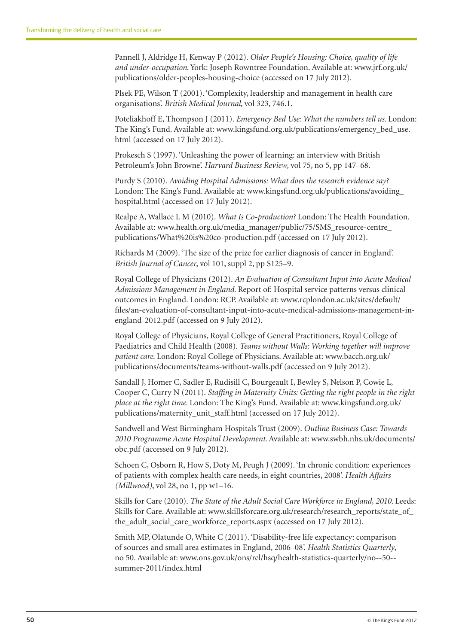Pannell J, Aldridge H, Kenway P (2012). *Older People's Housing: Choice, quality of life and under-occupation*. York: Joseph Rowntree Foundation. Available at: www.jrf.org.uk/ publications/older-peoples-housing-choice (accessed on 17 July 2012).

Plsek PE, Wilson T (2001). 'Complexity, leadership and management in health care organisations'. *British Medical Journal*, vol 323, 746.1.

Poteliakhoff E, Thompson J (2011). *Emergency Bed Use: What the numbers tell us*. London: The King's Fund. Available at: www.kingsfund.org.uk/publications/emergency\_bed\_use. html (accessed on 17 July 2012).

Prokesch S (1997). 'Unleashing the power of learning: an interview with British Petroleum's John Browne'. *Harvard Business Review*, vol 75, no 5, pp 147–68.

Purdy S (2010). *Avoiding Hospital Admissions: What does the research evidence say?* London: The King's Fund. Available at: www.kingsfund.org.uk/publications/avoiding\_ hospital.html (accessed on 17 July 2012).

Realpe A, Wallace L M (2010). *What Is Co-production?* London: The Health Foundation. Available at: www.health.org.uk/media\_manager/public/75/SMS\_resource-centre\_ publications/What%20is%20co-production.pdf (accessed on 17 July 2012).

Richards M (2009). 'The size of the prize for earlier diagnosis of cancer in England'. *British Journal of Cancer*, vol 101, suppl 2, pp S125–9.

Royal College of Physicians (2012). *An Evaluation of Consultant Input into Acute Medical Admissions Management in England*. Report of: Hospital service patterns versus clinical outcomes in England. London: RCP. Available at: www.rcplondon.ac.uk/sites/default/ files/an-evaluation-of-consultant-input-into-acute-medical-admissions-management-inengland-2012.pdf (accessed on 9 July 2012).

Royal College of Physicians, Royal College of General Practitioners, Royal College of Paediatrics and Child Health (2008). *Teams without Walls: Working together will improve patient care*. London: Royal College of Physicians. Available at: www.bacch.org.uk/ publications/documents/teams-without-walls.pdf (accessed on 9 July 2012).

Sandall J, Homer C, Sadler E, Rudisill C, Bourgeault I, Bewley S, Nelson P, Cowie L, Cooper C, Curry N (2011). *Staffing in Maternity Units: Getting the right people in the right place at the right time*. London: The King's Fund. Available at: www.kingsfund.org.uk/ publications/maternity\_unit\_staff.html (accessed on 17 July 2012).

Sandwell and West Birmingham Hospitals Trust (2009). *Outline Business Case: Towards 2010 Programme Acute Hospital Development*. Available at: www.swbh.nhs.uk/documents/ obc.pdf (accessed on 9 July 2012).

Schoen C, Osborn R, How S, Doty M, Peugh J (2009). 'In chronic condition: experiences of patients with complex health care needs, in eight countries, 2008'. *Health Affairs (Millwood)*, vol 28, no 1, pp w1–16.

Skills for Care (2010). *The State of the Adult Social Care Workforce in England, 2010*. Leeds: Skills for Care. Available at: www.skillsforcare.org.uk/research/research\_reports/state\_of\_ the\_adult\_social\_care\_workforce\_reports.aspx (accessed on 17 July 2012).

Smith MP, Olatunde O, White C (2011). 'Disability-free life expectancy: comparison of sources and small area estimates in England, 2006–08'. *Health Statistics Quarterly*, no 50. Available at: www.ons.gov.uk/ons/rel/hsq/health-statistics-quarterly/no--50- summer-2011/index.html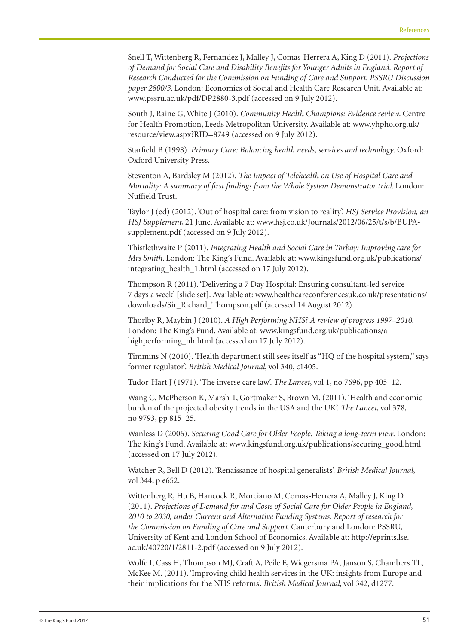Snell T, Wittenberg R, Fernandez J, Malley J, Comas-Herrera A, King D (2011). *Projections of Demand for Social Care and Disability Benefits for Younger Adults in England. Report of Research Conducted for the Commission on Funding of Care and Support. PSSRU Discussion paper 2800/3*. London: Economics of Social and Health Care Research Unit. Available at: www.pssru.ac.uk/pdf/DP2880-3.pdf (accessed on 9 July 2012).

South J, Raine G, White J (2010). *Community Health Champions: Evidence review*. Centre for Health Promotion, Leeds Metropolitan University. Available at: www.yhpho.org.uk/ resource/view.aspx?RID=8749 (accessed on 9 July 2012).

Starfield B (1998). *Primary Care: Balancing health needs, services and technology*. Oxford: Oxford University Press.

Steventon A, Bardsley M (2012). *The Impact of Telehealth on Use of Hospital Care and Mortality: A summary of first findings from the Whole System Demonstrator trial*. London: Nuffield Trust.

Taylor J (ed) (2012). 'Out of hospital care: from vision to reality'. *HSJ Service Provision, an HSJ Supplement*, 21 June. Available at: www.hsj.co.uk/Journals/2012/06/25/t/s/b/BUPAsupplement.pdf (accessed on 9 July 2012).

Thistlethwaite P (2011). *Integrating Health and Social Care in Torbay: Improving care for Mrs Smith*. London: The King's Fund. Available at: www.kingsfund.org.uk/publications/ integrating\_health\_1.html (accessed on 17 July 2012).

Thompson R (2011). 'Delivering a 7 Day Hospital: Ensuring consultant-led service 7 days a week' [slide set]. Available at: www.healthcareconferencesuk.co.uk/presentations/ downloads/Sir\_Richard\_Thompson.pdf (accessed 14 August 2012).

Thorlby R, Maybin J (2010). *A High Performing NHS? A review of progress 1997–2010*. London: The King's Fund. Available at: www.kingsfund.org.uk/publications/a\_ highperforming\_nh.html (accessed on 17 July 2012).

Timmins N (2010). 'Health department still sees itself as "HQ of the hospital system," says former regulator'. *British Medical Journal*, vol 340, c1405.

Tudor-Hart J (1971). 'The inverse care law'. *The Lancet*, vol 1, no 7696, pp 405–12.

Wang C, McPherson K, Marsh T, Gortmaker S, Brown M. (2011). 'Health and economic burden of the projected obesity trends in the USA and the UK'. *The Lancet*, vol 378, no 9793, pp 815–25.

Wanless D (2006). *Securing Good Care for Older People. Taking a long-term view*. London: The King's Fund. Available at: www.kingsfund.org.uk/publications/securing\_good.html (accessed on 17 July 2012).

Watcher R, Bell D (2012). 'Renaissance of hospital generalists'. *British Medical Journal*, vol 344, p e652.

Wittenberg R, Hu B, Hancock R, Morciano M, Comas-Herrera A, Malley J, King D (2011). *Projections of Demand for and Costs of Social Care for Older People in England, 2010 to 2030, under Current and Alternative Funding Systems. Report of research for the Commission on Funding of Care and Support*. Canterbury and London: PSSRU, University of Kent and London School of Economics. Available at: http://eprints.lse. ac.uk/40720/1/2811-2.pdf (accessed on 9 July 2012).

Wolfe I, Cass H, Thompson MJ, Craft A, Peile E, Wiegersma PA, Janson S, Chambers TL, McKee M. (2011). 'Improving child health services in the UK: insights from Europe and their implications for the NHS reforms'. *British Medical Journal*, vol 342, d1277.